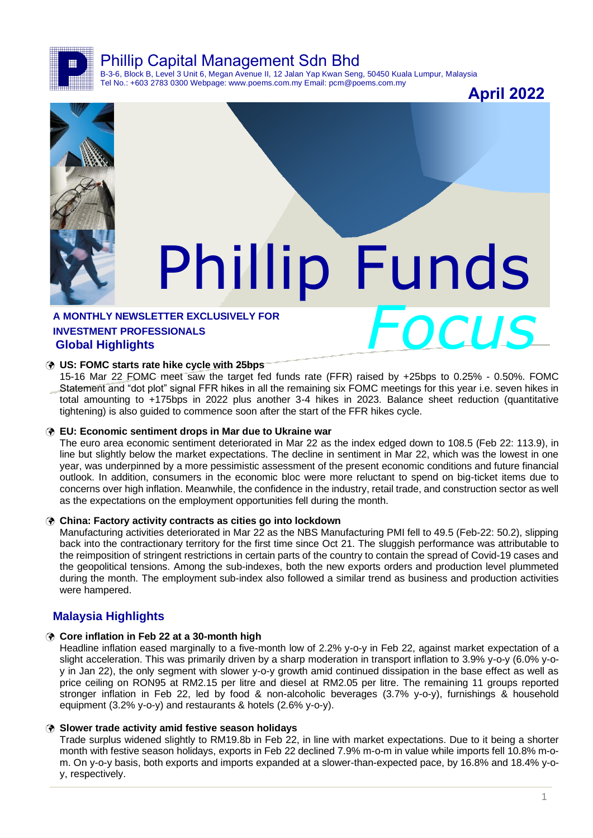Phillip Capital Management Sdn Bhd

B-3-6, Block B, Level 3 Unit 6, Megan Avenue II, 12 Jalan Yap Kwan Seng, 50450 Kuala Lumpur, Malaysia Tel No.: +603 2783 0300 Webpage: www.poems.com.my Email: pcm@poems.com.my

**April 2022**



# Phillip Funds

## A MONTHLY NEWSLETTER EXCLUSIVELY FOR<br>INVESTMENT PROFESSIONALS<br>Global Highlights **INVESTMENT PROFESSIONALS Global Highlights**

#### **US: FOMC starts rate hike cycle with 25bps**

15-16 Mar 22 FOMC meet saw the target fed funds rate (FFR) raised by +25bps to 0.25% - 0.50%. FOMC Statement and "dot plot" signal FFR hikes in all the remaining six FOMC meetings for this year i.e. seven hikes in total amounting to +175bps in 2022 plus another 3-4 hikes in 2023. Balance sheet reduction (quantitative tightening) is also guided to commence soon after the start of the FFR hikes cycle.

#### **EU: Economic sentiment drops in Mar due to Ukraine war**

The euro area economic sentiment deteriorated in Mar 22 as the index edged down to 108.5 (Feb 22: 113.9), in line but slightly below the market expectations. The decline in sentiment in Mar 22, which was the lowest in one year, was underpinned by a more pessimistic assessment of the present economic conditions and future financial outlook. In addition, consumers in the economic bloc were more reluctant to spend on big-ticket items due to concerns over high inflation. Meanwhile, the confidence in the industry, retail trade, and construction sector as well as the expectations on the employment opportunities fell during the month.

#### **China: Factory activity contracts as cities go into lockdown**

Manufacturing activities deteriorated in Mar 22 as the NBS Manufacturing PMI fell to 49.5 (Feb-22: 50.2), slipping back into the contractionary territory for the first time since Oct 21. The sluggish performance was attributable to the reimposition of stringent restrictions in certain parts of the country to contain the spread of Covid-19 cases and the geopolitical tensions. Among the sub-indexes, both the new exports orders and production level plummeted during the month. The employment sub-index also followed a similar trend as business and production activities were hampered.

## **Malaysia Highlights**

#### **Core inflation in Feb 22 at a 30-month high**

Headline inflation eased marginally to a five-month low of 2.2% y-o-y in Feb 22, against market expectation of a slight acceleration. This was primarily driven by a sharp moderation in transport inflation to 3.9% y-o-y (6.0% y-oy in Jan 22), the only segment with slower y-o-y growth amid continued dissipation in the base effect as well as price ceiling on RON95 at RM2.15 per litre and diesel at RM2.05 per litre. The remaining 11 groups reported stronger inflation in Feb 22, led by food & non-alcoholic beverages (3.7% y-o-y), furnishings & household equipment (3.2% y-o-y) and restaurants & hotels (2.6% y-o-y).

#### **Slower trade activity amid festive season holidays**

Trade surplus widened slightly to RM19.8b in Feb 22, in line with market expectations. Due to it being a shorter month with festive season holidays, exports in Feb 22 declined 7.9% m-o-m in value while imports fell 10.8% m-om. On y-o-y basis, both exports and imports expanded at a slower-than-expected pace, by 16.8% and 18.4% y-oy, respectively.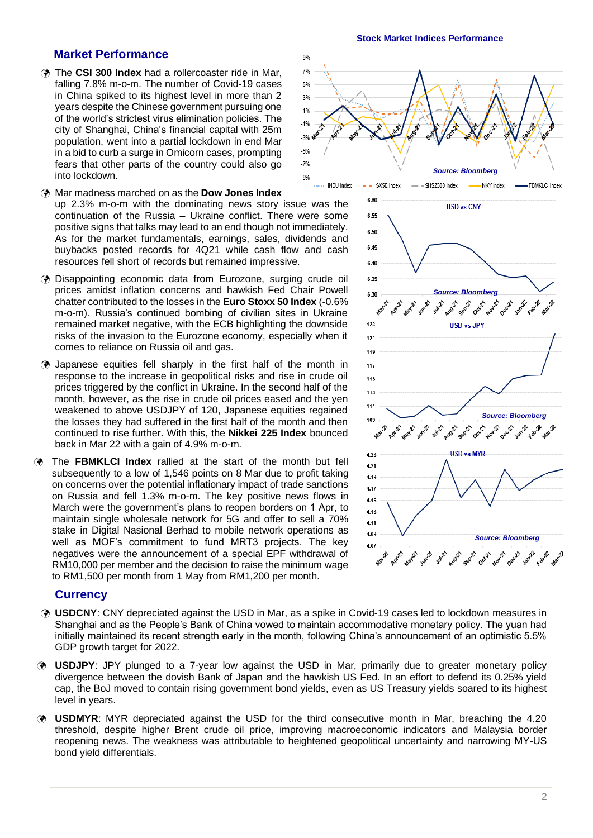### **Market Performance**

- The **CSI 300 Index** had a rollercoaster ride in Mar, falling 7.8% m-o-m. The number of Covid-19 cases in China spiked to its highest level in more than 2 years despite the Chinese government pursuing one of the world's strictest virus elimination policies. The city of Shanghai, China's financial capital with 25m population, went into a partial lockdown in end Mar in a bid to curb a surge in Omicorn cases, prompting fears that other parts of the country could also go into lockdown.
- Mar madness marched on as the **Dow Jones Index** up 2.3% m-o-m with the dominating news story issue was the continuation of the Russia – Ukraine conflict. There were some positive signs that talks may lead to an end though not immediately. As for the market fundamentals, earnings, sales, dividends and buybacks posted records for 4Q21 while cash flow and cash resources fell short of records but remained impressive.
- Disappointing economic data from Eurozone, surging crude oil prices amidst inflation concerns and hawkish Fed Chair Powell chatter contributed to the losses in the **Euro Stoxx 50 Index** (-0.6% m-o-m). Russia's continued bombing of civilian sites in Ukraine remained market negative, with the ECB highlighting the downside risks of the invasion to the Eurozone economy, especially when it comes to reliance on Russia oil and gas.
- Japanese equities fell sharply in the first half of the month in response to the increase in geopolitical risks and rise in crude oil prices triggered by the conflict in Ukraine. In the second half of the month, however, as the rise in crude oil prices eased and the yen weakened to above USDJPY of 120, Japanese equities regained the losses they had suffered in the first half of the month and then continued to rise further. With this, the **Nikkei 225 Index** bounced back in Mar 22 with a gain of 4.9% m-o-m.
- The **FBMKLCI Index** rallied at the start of the month but fell subsequently to a low of 1,546 points on 8 Mar due to profit taking on concerns over the potential inflationary impact of trade sanctions on Russia and fell 1.3% m-o-m. The key positive news flows in March were the government's plans to reopen borders on 1 Apr, to maintain single wholesale network for 5G and offer to sell a 70% stake in Digital Nasional Berhad to mobile network operations as well as MOF's commitment to fund MRT3 projects. The key negatives were the announcement of a special EPF withdrawal of RM10,000 per member and the decision to raise the minimum wage to RM1,500 per month from 1 May from RM1,200 per month.

#### **Currency**

- **USDCNY**: CNY depreciated against the USD in Mar, as a spike in Covid-19 cases led to lockdown measures in Shanghai and as the People's Bank of China vowed to maintain accommodative monetary policy. The yuan had initially maintained its recent strength early in the month, following China's announcement of an optimistic 5.5% GDP growth target for 2022.
- **USDJPY**: JPY plunged to a 7-year low against the USD in Mar, primarily due to greater monetary policy divergence between the dovish Bank of Japan and the hawkish US Fed. In an effort to defend its 0.25% yield cap, the BoJ moved to contain rising government bond yields, even as US Treasury yields soared to its highest level in years.
- **USDMYR**: MYR depreciated against the USD for the third consecutive month in Mar, breaching the 4.20 threshold, despite higher Brent crude oil price, improving macroeconomic indicators and Malaysia border reopening news. The weakness was attributable to heightened geopolitical uncertainty and narrowing MY-US bond yield differentials.

#### **Stock Market Indices Performance**



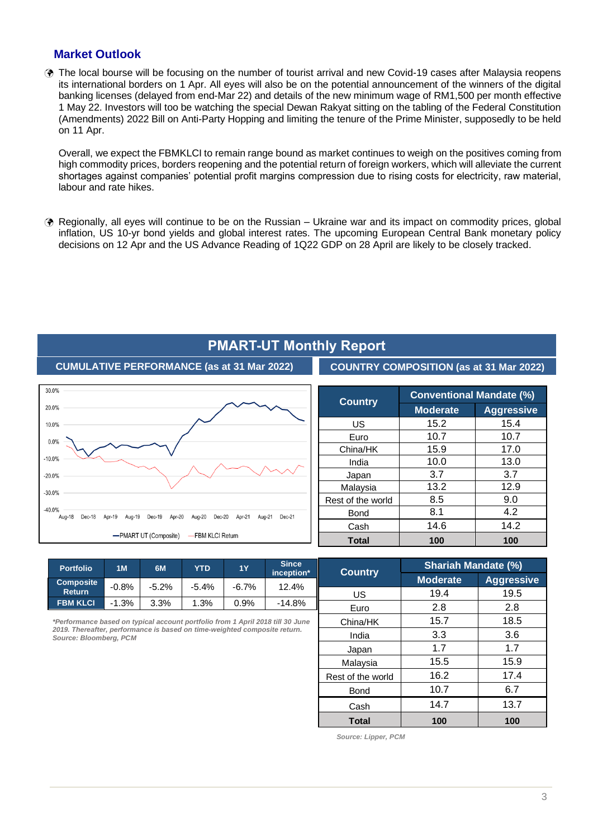## **Market Outlook**

 The local bourse will be focusing on the number of tourist arrival and new Covid-19 cases after Malaysia reopens its international borders on 1 Apr. All eyes will also be on the potential announcement of the winners of the digital banking licenses (delayed from end-Mar 22) and details of the new minimum wage of RM1,500 per month effective 1 May 22. Investors will too be watching the special Dewan Rakyat sitting on the tabling of the Federal Constitution (Amendments) 2022 Bill on Anti-Party Hopping and limiting the tenure of the Prime Minister, supposedly to be held on 11 Apr.

Overall, we expect the FBMKLCI to remain range bound as market continues to weigh on the positives coming from high commodity prices, borders reopening and the potential return of foreign workers, which will alleviate the current shortages against companies' potential profit margins compression due to rising costs for electricity, raw material, labour and rate hikes.

 Regionally, all eyes will continue to be on the Russian – Ukraine war and its impact on commodity prices, global inflation, US 10-yr bond yields and global interest rates. The upcoming European Central Bank monetary policy decisions on 12 Apr and the US Advance Reading of 1Q22 GDP on 28 April are likely to be closely tracked.



| <b>PMART-UT Monthly Report</b> |  |
|--------------------------------|--|
|--------------------------------|--|

**COUNTRY COMPOSITION (as at 31 Mar 2022)**

| <b>Country</b>    | <b>Conventional Mandate (%)</b> |                   |  |  |  |
|-------------------|---------------------------------|-------------------|--|--|--|
|                   | <b>Moderate</b>                 | <b>Aggressive</b> |  |  |  |
| US                | 15.2                            | 15.4              |  |  |  |
| Euro              | 10.7                            | 10.7              |  |  |  |
| China/HK          | 15.9                            | 17.0              |  |  |  |
| India             | 10.0                            | 13.0              |  |  |  |
| Japan             | 3.7                             | 3.7               |  |  |  |
| Malaysia          | 13.2                            | 12.9              |  |  |  |
| Rest of the world | 8.5                             | 9.0               |  |  |  |
| <b>Bond</b>       | 8.1                             | 4.2               |  |  |  |
| Cash              | 14.6                            | 14.2              |  |  |  |
| <b>Total</b>      | 100                             | 100               |  |  |  |

| <b>Portfolio</b>                  | 1M      | 6M      | YTD     | <b>1Y</b> | <b>Since</b><br>inception* | <b>Country</b> |
|-----------------------------------|---------|---------|---------|-----------|----------------------------|----------------|
| <b>Composite</b><br><b>Return</b> | $-0.8%$ | $-5.2%$ | $-5.4%$ | $-6.7%$   | 12.4%                      | US             |
| <b>FBM KLCI</b>                   | $-1.3%$ | 3.3%    | 1.3%    | 0.9%      | -14.8%                     | F.             |

*\*Performance based on typical account portfolio from 1 April 2018 till 30 June 2019. Thereafter, performance is based on time-weighted composite return. Source: Bloomberg, PCM* 

| <b>Country</b>    | <b>Shariah Mandate (%)</b> |                   |  |  |  |
|-------------------|----------------------------|-------------------|--|--|--|
|                   | <b>Moderate</b>            | <b>Aggressive</b> |  |  |  |
| US                | 19.4                       | 19.5              |  |  |  |
| Euro              | 2.8                        | 2.8               |  |  |  |
| China/HK          | 15.7                       | 18.5              |  |  |  |
| India             | 3.3                        |                   |  |  |  |
| Japan             | 1.7                        | 1.7               |  |  |  |
| Malaysia          | 15.5                       | 15.9              |  |  |  |
| Rest of the world | 16.2                       | 17.4              |  |  |  |
| <b>Bond</b>       | 10.7                       | 6.7               |  |  |  |
| Cash              | 14.7                       | 13.7              |  |  |  |
| <b>Total</b>      | 100                        | 100               |  |  |  |

*Source: Lipper, PCM*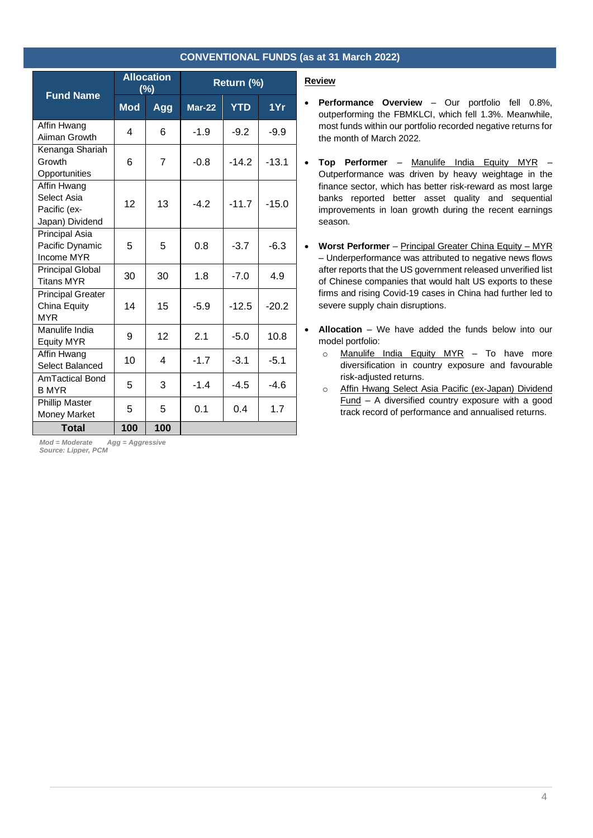| <b>CONVENTIONAL FUNDS (as at 31 March 2022)</b> |  |
|-------------------------------------------------|--|
|-------------------------------------------------|--|

|                                                               | <b>Allocation</b><br>(%) |     | Return (%)    |            |         |
|---------------------------------------------------------------|--------------------------|-----|---------------|------------|---------|
| <b>Fund Name</b>                                              | <b>Mod</b>               | Agg | <b>Mar-22</b> | <b>YTD</b> | 1Yr     |
| Affin Hwang<br>Aiiman Growth                                  | 4                        | 6   | $-1.9$        | $-9.2$     | $-9.9$  |
| Kenanga Shariah<br>Growth<br>Opportunities                    | 6                        | 7   | $-0.8$        | $-14.2$    | $-13.1$ |
| Affin Hwang<br>Select Asia<br>Pacific (ex-<br>Japan) Dividend | 12                       | 13  | $-42$         | $-11.7$    | $-15.0$ |
| <b>Principal Asia</b><br>Pacific Dynamic<br>Income MYR        | 5                        | 5   | 0.8           | $-3.7$     | $-6.3$  |
| <b>Principal Global</b><br><b>Titans MYR</b>                  | 30                       | 30  | 1.8           | $-7.0$     | 4.9     |
| <b>Principal Greater</b><br>China Equity<br><b>MYR</b>        | 14                       | 15  | $-5.9$        | $-12.5$    | $-20.2$ |
| Manulife India<br><b>Equity MYR</b>                           | 9                        | 12  | 2.1           | $-5.0$     | 10.8    |
| Affin Hwang<br>Select Balanced                                | 10                       | 4   | $-1.7$        | $-3.1$     | $-5.1$  |
| <b>AmTactical Bond</b><br><b>B MYR</b>                        | 5                        | 3   | $-1.4$        | $-4.5$     | -4.6    |
| <b>Phillip Master</b><br><b>Money Market</b>                  | 5                        | 5   | 0.1           | 0.4        | 1.7     |
| <b>Total</b>                                                  | 100                      | 100 |               |            |         |

*Mod = Moderate Agg = Aggressive Source: Lipper, PCM*

#### **Review**

- **Performance Overview** Our portfolio fell 0.8%, outperforming the FBMKLCI, which fell 1.3%. Meanwhile, most funds within our portfolio recorded negative returns for the month of March 2022.
- **Top Performer** Manulife India Equity MYR Outperformance was driven by heavy weightage in the finance sector, which has better risk-reward as most large banks reported better asset quality and sequential improvements in loan growth during the recent earnings season.
- **Worst Performer** Principal Greater China Equity MYR – Underperformance was attributed to negative news flows after reports that the US government released unverified list of Chinese companies that would halt US exports to these firms and rising Covid-19 cases in China had further led to severe supply chain disruptions.
- **Allocation** We have added the funds below into our model portfolio:
	- o Manulife India Equity MYR To have more diversification in country exposure and favourable risk-adjusted returns.
	- o Affin Hwang Select Asia Pacific (ex-Japan) Dividend Fund – A diversified country exposure with a good track record of performance and annualised returns.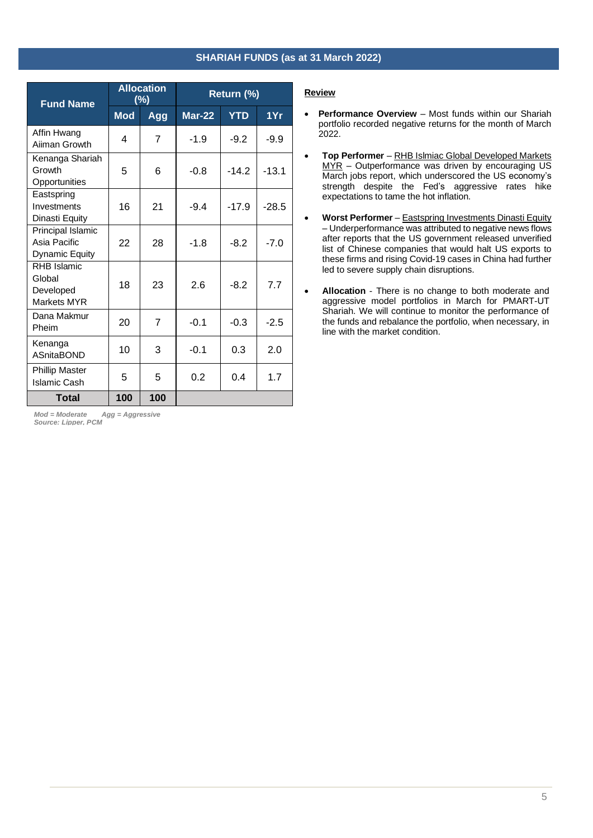#### **SHARIAH FUNDS (as at 31 March 2022)**

| <b>Fund Name</b>                                    | <b>Allocation</b><br>$(\%)$ |     | Return (%)    |            |         |
|-----------------------------------------------------|-----------------------------|-----|---------------|------------|---------|
|                                                     | <b>Mod</b>                  | Agg | <b>Mar-22</b> | <b>YTD</b> | 1Yr     |
| Affin Hwang<br>Aiiman Growth                        | 4                           | 7   | $-1.9$        | $-9.2$     | $-9.9$  |
| Kenanga Shariah<br>Growth<br>Opportunities          | 5                           | 6   | $-0.8$        | $-14.2$    | $-13.1$ |
| Eastspring<br>Investments<br>Dinasti Equity         | 16                          | 21  | $-9.4$        | $-17.9$    | $-28.5$ |
| Principal Islamic<br>Asia Pacific<br>Dynamic Equity | 22                          | 28  | $-1.8$        | $-8.2$     | $-7.0$  |
| RHB Islamic<br>Global<br>Developed<br>Markets MYR   | 18                          | 23  | 2.6           | $-8.2$     | 7.7     |
| Dana Makmur<br>Pheim                                | 20                          | 7   | $-0.1$        | $-0.3$     | $-2.5$  |
| Kenanga<br><b>ASnitaBOND</b>                        | 10                          | 3   | $-0.1$        | 0.3        | 2.0     |
| <b>Phillip Master</b><br><b>Islamic Cash</b>        | 5                           | 5   | 0.2           | 0.4        | 1.7     |
| <b>Total</b>                                        | 100                         | 100 |               |            |         |

*Mod = Moderate Agg = Aggressive Source: Lipper, PCM*

#### **Review**

- **Performance Overview** Most funds within our Shariah portfolio recorded negative returns for the month of March 2022.
- **Top Performer**  RHB Islmiac Global Developed Markets MYR – Outperformance was driven by encouraging US March jobs report, which underscored the US economy's strength despite the Fed's aggressive rates hike expectations to tame the hot inflation.
- **Worst Performer** Eastspring Investments Dinasti Equity – Underperformance was attributed to negative news flows after reports that the US government released unverified list of Chinese companies that would halt US exports to these firms and rising Covid-19 cases in China had further led to severe supply chain disruptions.
- **Allocation** There is no change to both moderate and aggressive model portfolios in March for PMART-UT Shariah. We will continue to monitor the performance of the funds and rebalance the portfolio, when necessary, in line with the market condition.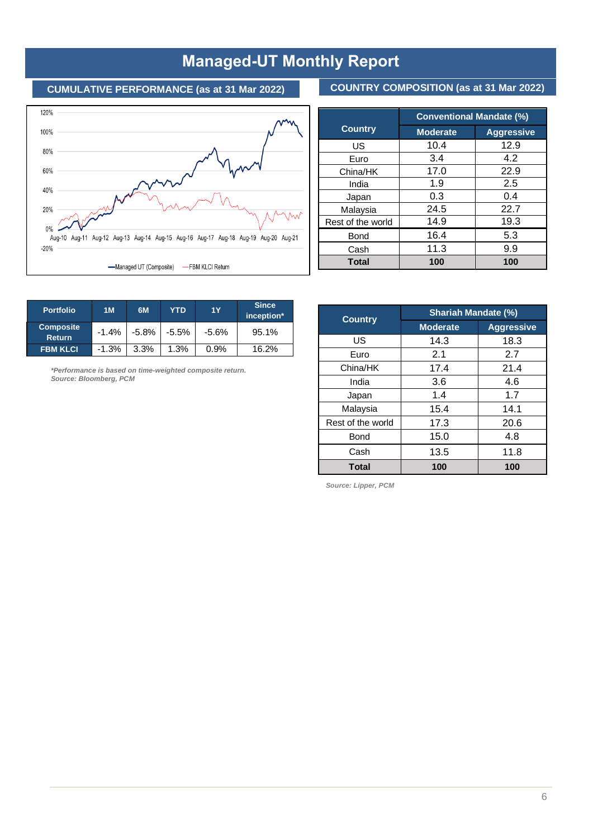# **Managed-UT Monthly Report**

## **CUMULATIVE PERFORMANCE (as at 31 Mar 2022)**





|                   | <b>Conventional Mandate (%)</b> |                   |  |  |  |
|-------------------|---------------------------------|-------------------|--|--|--|
| <b>Country</b>    | <b>Moderate</b>                 | <b>Aggressive</b> |  |  |  |
| US                | 10.4                            | 12.9              |  |  |  |
| Euro              | 3.4                             | 4.2               |  |  |  |
| China/HK          | 17.0                            | 22.9              |  |  |  |
| India             | 1.9                             | 2.5               |  |  |  |
| Japan             | 0.3                             | 0.4               |  |  |  |
| Malaysia          | 24.5                            | 22.7              |  |  |  |
| Rest of the world | 14.9                            | 19.3              |  |  |  |
| <b>Bond</b>       | 16.4                            | 5.3               |  |  |  |
| Cash              | 11.3                            | 9.9               |  |  |  |
| <b>Total</b>      | 100                             | 100               |  |  |  |

| <b>Portfolio</b>                  | 1M       | 6M    | YTD     | <b>1Y</b> | <b>Since</b><br>inception* |
|-----------------------------------|----------|-------|---------|-----------|----------------------------|
| <b>Composite</b><br><b>Return</b> | $-1.4%$  | -5.8% | $-5.5%$ | $-5.6%$   | 95.1%                      |
| <b>FBM KLCI</b>                   | $-1.3\%$ | 3.3%  | 1.3%    | 0.9%      | 16.2%                      |

*\*Performance is based on time-weighted composite return. Source: Bloomberg, PCM* 

| <b>Country</b>    | <b>Shariah Mandate (%)</b> |                   |  |  |
|-------------------|----------------------------|-------------------|--|--|
|                   | <b>Moderate</b>            | <b>Aggressive</b> |  |  |
| US                | 14.3                       | 18.3              |  |  |
| Euro              | 2.1                        | 2.7               |  |  |
| China/HK          | 17.4                       | 21.4              |  |  |
| India             | 3.6                        | 4.6               |  |  |
| Japan             | 1.4                        | 1.7               |  |  |
| Malaysia          | 15.4                       | 14.1              |  |  |
| Rest of the world | 17.3                       | 20.6              |  |  |
| Bond              | 15.0                       | 4.8               |  |  |
| Cash              | 13.5                       | 11.8              |  |  |
| <b>Total</b>      | 100                        | 100               |  |  |

*Source: Lipper, PCM*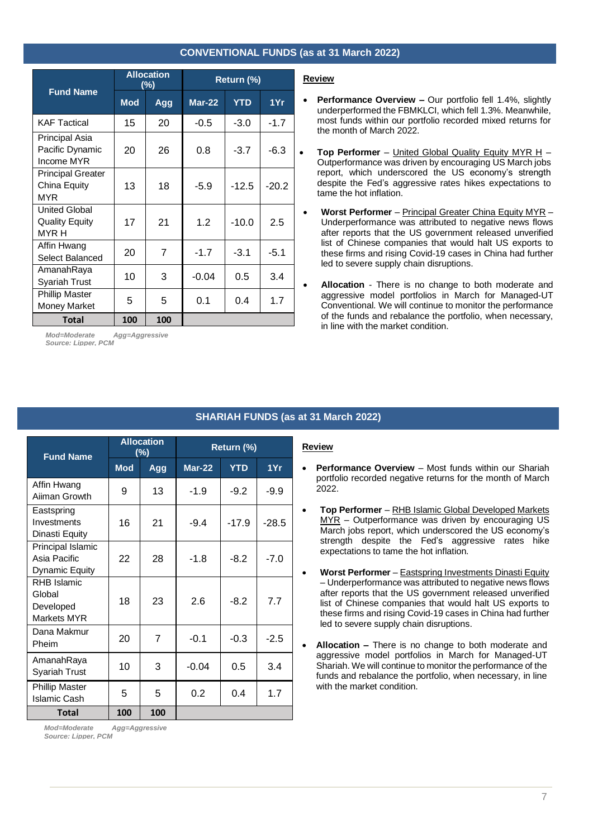### **CONVENTIONAL FUNDS (as at 31 March 2022)**

|                                                        |            | <b>Allocation</b><br>$(\%)$ | Return (%)    |            |         |
|--------------------------------------------------------|------------|-----------------------------|---------------|------------|---------|
| <b>Fund Name</b>                                       | <b>Mod</b> | Agg                         | <b>Mar-22</b> | <b>YTD</b> | 1Yr     |
| <b>KAF Tactical</b>                                    | 15         | 20                          | $-0.5$        | $-3.0$     | $-1.7$  |
| Principal Asia<br>Pacific Dynamic<br>Income MYR        | 20         | 26                          | 0.8           | $-3.7$     | $-6.3$  |
| <b>Principal Greater</b><br>China Equity<br><b>MYR</b> | 13         | 18                          | $-5.9$        | $-12.5$    | $-20.2$ |
| <b>United Global</b><br><b>Quality Equity</b><br>MYR H | 17         | 21                          | 1.2           | $-10.0$    | 2.5     |
| Affin Hwang<br>Select Balanced                         | 20         | 7                           | $-1.7$        | $-3.1$     | $-5.1$  |
| AmanahRaya<br><b>Syariah Trust</b>                     | 10         | 3                           | $-0.04$       | 0.5        | 3.4     |
| <b>Phillip Master</b><br><b>Money Market</b>           | 5          | 5                           | 0.1           | 0.4        | 1.7     |
| Total                                                  | 100        | 100                         |               |            |         |

*Mod=Moderate Agg=Aggressive Source: Lipper, PCM*

#### **Review**

- **Performance Overview –** Our portfolio fell 1.4%, slightly underperformed the FBMKLCI, which fell 1.3%. Meanwhile, most funds within our portfolio recorded mixed returns for the month of March 2022.
- **Top Performer** United Global Quality Equity MYR H Outperformance was driven by encouraging US March jobs report, which underscored the US economy's strength despite the Fed's aggressive rates hikes expectations to tame the hot inflation.
- **Worst Performer** Principal Greater China Equity MYR Underperformance was attributed to negative news flows after reports that the US government released unverified list of Chinese companies that would halt US exports to these firms and rising Covid-19 cases in China had further led to severe supply chain disruptions.
- **Allocation** There is no change to both moderate and aggressive model portfolios in March for Managed-UT Conventional. We will continue to monitor the performance of the funds and rebalance the portfolio, when necessary, in line with the market condition.

#### **SHARIAH FUNDS (as at 31 March 2022)**

| <b>Fund Name</b>                                           | <b>Allocation</b><br>$(\%)$ |     | Return (%) |            |         |
|------------------------------------------------------------|-----------------------------|-----|------------|------------|---------|
|                                                            | <b>Mod</b>                  | Agg | $Mar-22$   | <b>YTD</b> | 1Yr     |
| Affin Hwang<br>Aiiman Growth                               | 9                           | 13  | $-1.9$     | $-9.2$     | $-9.9$  |
| Eastspring<br>Investments<br>Dinasti Equity                | 16                          | 21  | $-9.4$     | $-17.9$    | $-28.5$ |
| Principal Islamic<br>Asia Pacific<br><b>Dynamic Equity</b> | 22                          | 28  | $-1.8$     | $-8.2$     | $-7.0$  |
| <b>RHB Islamic</b><br>Global<br>Developed<br>Markets MYR   | 18                          | 23  | 2.6        | $-8.2$     | 7.7     |
| Dana Makmur<br>Pheim                                       | 20                          | 7   | $-0.1$     | $-0.3$     | $-2.5$  |
| AmanahRaya<br><b>Syariah Trust</b>                         | 10                          | 3   | $-0.04$    | 0.5        | 3.4     |
| <b>Phillip Master</b><br><b>Islamic Cash</b>               | 5                           | 5   | 0.2        | 0.4        | 1.7     |
| Total                                                      | 100                         | 100 |            |            |         |

**Review**

- **Performance Overview** Most funds within our Shariah portfolio recorded negative returns for the month of March 2022.
- **Top Performer**  RHB Islamic Global Developed Markets MYR – Outperformance was driven by encouraging US March jobs report, which underscored the US economy's strength despite the Fed's aggressive rates hike expectations to tame the hot inflation.
- **Worst Performer** Eastspring Investments Dinasti Equity – Underperformance was attributed to negative news flows after reports that the US government released unverified list of Chinese companies that would halt US exports to these firms and rising Covid-19 cases in China had further led to severe supply chain disruptions.
- **Allocation –** There is no change to both moderate and aggressive model portfolios in March for Managed-UT Shariah. We will continue to monitor the performance of the funds and rebalance the portfolio, when necessary, in line with the market condition.

*Mod=Moderate Agg=Aggressive Source: Lipper, PCM*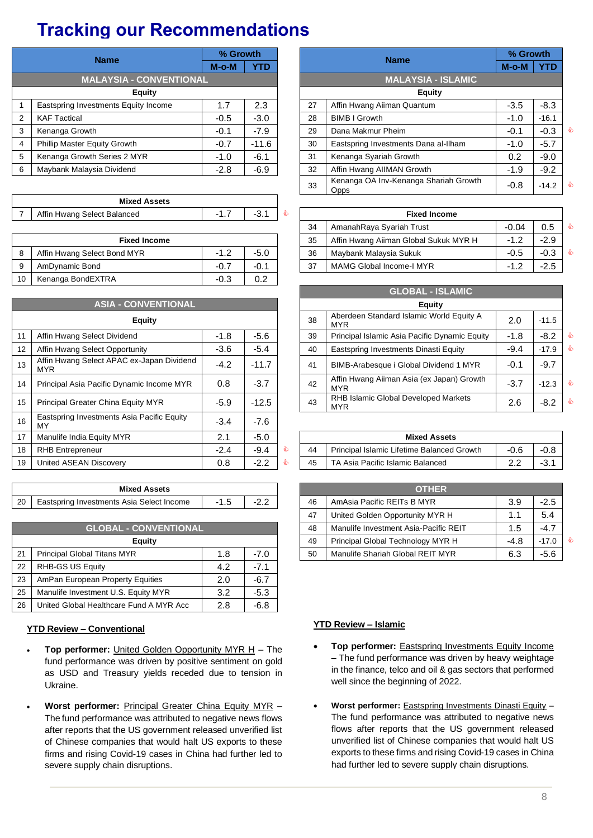# **Tracking our Recommendations**

|                                            | <b>Name</b>                                        | % Growth |            |  |                           | <b>Name</b>                                             | % Growth |            |  |  |  |
|--------------------------------------------|----------------------------------------------------|----------|------------|--|---------------------------|---------------------------------------------------------|----------|------------|--|--|--|
|                                            |                                                    | $M$ -o-M | <b>YTD</b> |  |                           |                                                         | $M-O-M$  | <b>YTD</b> |  |  |  |
|                                            | <b>MALAYSIA - CONVENTIONAL</b>                     |          |            |  | <b>MALAYSIA - ISLAMIC</b> |                                                         |          |            |  |  |  |
| <b>Equity</b>                              |                                                    |          |            |  | <b>Equity</b>             |                                                         |          |            |  |  |  |
|                                            | 2.3<br>Eastspring Investments Equity Income<br>1.7 |          |            |  | 27                        | $-3.5$                                                  | $-8.3$   |            |  |  |  |
| 2                                          | <b>KAF Tactical</b>                                | $-0.5$   | $-3.0$     |  | 28                        | <b>BIMB I Growth</b>                                    | $-1.0$   | $-16.1$    |  |  |  |
| 3                                          | Kenanga Growth                                     | $-0.1$   | $-7.9$     |  | 29                        | Dana Makmur Pheim                                       | $-0.1$   | $-0.3$     |  |  |  |
| $\overline{4}$                             | Phillip Master Equity Growth                       | $-0.7$   | $-11.6$    |  | 30                        | $-1.0$                                                  | $-5.7$   |            |  |  |  |
| Kenanga Growth Series 2 MYR<br>$-1.0$<br>5 |                                                    |          | $-6.1$     |  | 31                        | Kenanga Syariah Growth                                  | 0.2      | $-9.0$     |  |  |  |
| 6                                          | Maybank Malaysia Dividend                          | $-2.8$   | $-6.9$     |  | 32                        | Affin Hwang AIIMAN Growth                               | $-1.9$   | $-9.2$     |  |  |  |
|                                            |                                                    |          |            |  |                           | $\sim$ $\sim$ $\sim$ $\sim$ $\sim$ $\sim$ $\sim$ $\sim$ |          |            |  |  |  |

| <b>Mixed Assets</b>         |   |   |               | ) シドレ               |
|-----------------------------|---|---|---------------|---------------------|
| Affin Hwang Select Balanced | . | ຣ |               | <b>Fixed Income</b> |
|                             |   |   | $\sim$ $\sim$ |                     |

|                                          | <b>Fixed Income</b>                          |  |  |  | 35 | Affin Hwang Aiiman Global Sukuk MYR H | $\overline{A}$<br>- 1 | -2.9   |
|------------------------------------------|----------------------------------------------|--|--|--|----|---------------------------------------|-----------------------|--------|
|                                          | $-5.0$<br>Affin Hwang Select Bond MYR<br>- 1 |  |  |  | 36 | Mavbank Malavsia Sukuk                | $-0.5$                | $-0.3$ |
|                                          | $-0.1$<br>AmDynamic Bond<br>$-0.7$           |  |  |  | 37 | MAMG Global Income-I MYR              | $\sim$<br>- 1         | -2.5   |
| 0.2<br>$-0.3$<br>10<br>Kenanga BondEXTRA |                                              |  |  |  |    |                                       |                       |        |

|                                                  | <b>ASIA - CONVENTIONAL</b>                              |        |         |    |                                        | <b>Equity</b>                                           |        |         |
|--------------------------------------------------|---------------------------------------------------------|--------|---------|----|----------------------------------------|---------------------------------------------------------|--------|---------|
|                                                  | <b>Equity</b>                                           |        |         |    | 38                                     | Aberdeen Standard Islamic World Equity A<br>MYR         | 2.0    | $-11.5$ |
| 11                                               | Affin Hwang Select Dividend                             | $-1.8$ | $-5.6$  |    | 39                                     | Principal Islamic Asia Pacific Dynamic Equity           | $-1.8$ | $-8.2$  |
| 12                                               | Affin Hwang Select Opportunity<br>$-5.4$<br>$-3.6$      |        |         |    | 40                                     | Eastspring Investments Dinasti Equity                   | $-9.4$ | $-17.9$ |
| 13                                               | Affin Hwang Select APAC ex-Japan Dividend<br><b>MYR</b> | $-4.2$ |         | 41 | BIMB-Arabesque i Global Dividend 1 MYR | $-0.1$                                                  | $-9.7$ |         |
| 14                                               | Principal Asia Pacific Dynamic Income MYR               | 0.8    | $-3.7$  |    | 42                                     | Affin Hwang Aiiman Asia (ex Japan) Growth<br><b>MYR</b> | $-3.7$ | $-12.3$ |
| 15                                               | Principal Greater China Equity MYR                      | $-5.9$ | $-12.5$ |    | 43                                     | RHB Islamic Global Developed Markets<br>MYR             | 2.6    | $-8.2$  |
| 16                                               | Eastspring Investments Asia Pacific Equity<br>MY        | $-3.4$ | $-7.6$  |    |                                        |                                                         |        |         |
| $-5.0$<br>17<br>2.1<br>Manulife India Equity MYR |                                                         |        |         |    |                                        | <b>Mixed Assets</b>                                     |        |         |
| 18                                               | $-9.4$<br>$-2.4$<br><b>RHB Entrepreneur</b>             |        |         |    | 44                                     | Principal Islamic Lifetime Balanced Growth              | $-0.6$ | -0.8    |
| 19                                               | $-2.2$<br>United ASEAN Discovery<br>0.8                 |        |         |    |                                        | TA Asia Pacific Islamic Balanced                        | 2.2    | $-3.1$  |

|          | <b>Mixed</b><br>Accate<br>нээс э                                    |                      |          |    |                                                                                         |             |           |
|----------|---------------------------------------------------------------------|----------------------|----------|----|-----------------------------------------------------------------------------------------|-------------|-----------|
| 20<br>__ | Select Income<br><b>Asia</b><br>stments<br>١r<br>nvestr<br>_astsnr" | - 1<br>ں ו<br>$\sim$ | <u>.</u> | 46 | - MY د<br>$\overline{\phantom{a}}$<br>RF<br>'acıtıc<br>$\Delta n$<br>1.0.0<br>-<br>عاجد | v.c<br>$ -$ | $- \cdot$ |

|    | <b>GLOBAL - CONVENTIONAL</b>                        |     |        |  | 48 | Manulife Investment Asia-Pacific REIT | 1.5    | $-4.7$  |
|----|-----------------------------------------------------|-----|--------|--|----|---------------------------------------|--------|---------|
|    | Equity                                              |     |        |  | 49 | Principal Global Technology MYR H     | $-4.8$ | $-17.0$ |
| 21 | <b>Principal Global Titans MYR</b><br>$-7.0$<br>8.، |     |        |  |    | Manulife Shariah Global REIT MYR      | 6.3    | $-5.6$  |
| 22 | RHB-GS US Equity                                    | 4.2 | $-7.1$ |  |    |                                       |        |         |
| 23 | AmPan European Property Equities                    | 2.0 | $-6.7$ |  |    |                                       |        |         |
| 25 | Manulife Investment U.S. Equity MYR                 | 3.2 | $-5.3$ |  |    |                                       |        |         |
| 26 | United Global Healthcare Fund A MYR Acc             | 2.8 | $-6.8$ |  |    |                                       |        |         |
|    |                                                     |     |        |  |    |                                       |        |         |

#### **YTD Review – Conventional**

- **Top performer:** United Golden Opportunity MYR H **–** The fund performance was driven by positive sentiment on gold as USD and Treasury yields receded due to tension in Ukraine.
- **Worst performer:** Principal Greater China Equity MYR The fund performance was attributed to negative news flows after reports that the US government released unverified list of Chinese companies that would halt US exports to these firms and rising Covid-19 cases in China had further led to severe supply chain disruptions.

|   | <b>Name</b>                                        | % Growth         |            |                                                      | <b>Name</b>                          | % Growth    |            |  |  |  |  |
|---|----------------------------------------------------|------------------|------------|------------------------------------------------------|--------------------------------------|-------------|------------|--|--|--|--|
|   |                                                    | $M-O-M$          | <b>YTD</b> |                                                      |                                      | $M$ -o- $M$ | <b>YTD</b> |  |  |  |  |
|   | <b>MALAYSIA - CONVENTIONAL</b>                     |                  |            |                                                      | <b>MALAYSIA - ISLAMIC</b>            |             |            |  |  |  |  |
|   | <b>Equity</b>                                      |                  |            |                                                      | <b>Equity</b>                        |             |            |  |  |  |  |
|   | 2.3<br>1.7<br>Eastspring Investments Equity Income |                  |            |                                                      | Affin Hwang Aiiman Quantum           | $-3.5$      | $-8.3$     |  |  |  |  |
| 2 | <b>KAF Tactical</b>                                | $-3.0$<br>$-0.5$ |            | 28                                                   | <b>BIMB I Growth</b>                 | $-1.0$      | $-16.1$    |  |  |  |  |
| 3 | Kenanga Growth                                     | $-0.1$           | $-7.9$     | 29                                                   | Dana Makmur Pheim                    | $-0.1$      | $-0.3$     |  |  |  |  |
| 4 | Phillip Master Equity Growth                       | $-0.7$           | $-11.6$    | 30                                                   | Eastspring Investments Dana al-Ilham | $-1.0$      | $-5.7$     |  |  |  |  |
| 5 | Kenanga Growth Series 2 MYR                        | $-1.0$           | $-6.1$     | 31                                                   | Kenanga Syariah Growth               | 0.2         | $-9.0$     |  |  |  |  |
| 6 | Maybank Malaysia Dividend<br>$-2.8$<br>$-6.9$      |                  |            | 32                                                   | Affin Hwang AIIMAN Growth            | $-1.9$      | $-9.2$     |  |  |  |  |
|   |                                                    |                  | 33         | Kenanga OA Inv-Kenanga Shariah Growth<br><b>Opps</b> | $-0.8$                               | $-14.2$     |            |  |  |  |  |

| Affin Hwang Select Balanced | -1<br>. . | $-3.1$ |                                                         | <b>Fixed Income</b>                   |             |        |  |  |  |  |
|-----------------------------|-----------|--------|---------------------------------------------------------|---------------------------------------|-------------|--------|--|--|--|--|
|                             |           |        | $-0.04$<br>0.5<br>34<br>AmanahRaya Syariah Trust        |                                       |             |        |  |  |  |  |
| <b>Fixed Income</b>         |           |        | 35                                                      | Affin Hwang Aiiman Global Sukuk MYR H | $-1$ $\sim$ | $-2.9$ |  |  |  |  |
| Affin Hwang Select Bond MYR | $-1.2$    | -5.0   | 36                                                      | Maybank Malaysia Sukuk                | $-0.5$      | $-0.3$ |  |  |  |  |
| AmDynamic Bond              | $-0.7$    | $-0.1$ | $-2.5$<br>37<br>MAMG Global Income-I MYR<br>$-1$ $\sim$ |                                       |             |        |  |  |  |  |

|                  |                                                         |        |         |        | <b>GLOBAL - ISLAMIC</b>                                |        |         |     |  |  |  |
|------------------|---------------------------------------------------------|--------|---------|--------|--------------------------------------------------------|--------|---------|-----|--|--|--|
|                  | <b>ASIA - CONVENTIONAL</b>                              |        |         | Equity |                                                        |        |         |     |  |  |  |
|                  | <b>Equity</b>                                           |        |         | 38     | Aberdeen Standard Islamic World Equity A<br><b>MYR</b> | 2.0    | $-11.5$ |     |  |  |  |
| 11               | Affin Hwang Select Dividend                             | $-1.8$ | $-5.6$  | 39     | Principal Islamic Asia Pacific Dynamic Equity          | $-1.8$ | $-8.2$  | ₷   |  |  |  |
| 12               | Affin Hwang Select Opportunity                          | $-3.6$ | $-5.4$  | 40     | Eastspring Investments Dinasti Equity                  | $-9.4$ | $-17.9$ | ል   |  |  |  |
| 13 <sup>13</sup> | Affin Hwang Select APAC ex-Japan Dividend<br><b>MYR</b> | $-4.2$ | $-11.7$ | 41     | BIMB-Arabesque i Global Dividend 1 MYR                 | $-0.1$ | $-9.7$  |     |  |  |  |
| 14               | Principal Asia Pacific Dynamic Income MYR               | 0.8    | $-3.7$  | 42     | Affin Hwang Aiiman Asia (ex Japan) Growth<br>MYR       | $-3.7$ | $-12.3$ | ₷   |  |  |  |
| 15               | Principal Greater China Equity MYR                      | $-5.9$ | $-12.5$ | 43     | RHB Islamic Global Developed Markets<br>MYR            | 2.6    | $-8.2$  | ed. |  |  |  |

|    | <b>Mixed Assets</b>                        |      |        |  |  |  |  |  |  |  |  |  |
|----|--------------------------------------------|------|--------|--|--|--|--|--|--|--|--|--|
| 44 | Principal Islamic Lifetime Balanced Growth | -0.6 |        |  |  |  |  |  |  |  |  |  |
| 45 | TA Asia Pacific Islamic Balanced           |      | $-3.1$ |  |  |  |  |  |  |  |  |  |

| <b>Mixed Assets</b>                             |  |  |  | <b>OTHER</b> |                                       |        |         |  |  |  |  |  |
|-------------------------------------------------|--|--|--|--------------|---------------------------------------|--------|---------|--|--|--|--|--|
| $-2.2$<br>estments Asia Select Income<br>$-1.5$ |  |  |  | 46           | AmAsia Pacific REITs B MYR            | 3.9    | $-2.5$  |  |  |  |  |  |
|                                                 |  |  |  | 47           | United Golden Opportunity MYR H       |        | 5.4     |  |  |  |  |  |
| <b>GLOBAL - CONVENTIONAL</b>                    |  |  |  | 48           | Manulife Investment Asia-Pacific REIT | 1.5    | $-4.7$  |  |  |  |  |  |
| Eauity                                          |  |  |  | 49           | Principal Global Technology MYR H     | $-4.8$ | $-17.0$ |  |  |  |  |  |
| al Titans MYR<br>$-7.0$<br>1.8                  |  |  |  | 50           | Manulife Shariah Global REIT MYR      | 6.3    | $-5.6$  |  |  |  |  |  |

#### **YTD Review – Islamic**

- **Top performer:** Eastspring Investments Equity Income **–** The fund performance was driven by heavy weightage in the finance, telco and oil & gas sectors that performed well since the beginning of 2022.
- **Worst performer:** Eastspring Investments Dinasti Equity The fund performance was attributed to negative news flows after reports that the US government released unverified list of Chinese companies that would halt US exports to these firms and rising Covid-19 cases in China had further led to severe supply chain disruptions.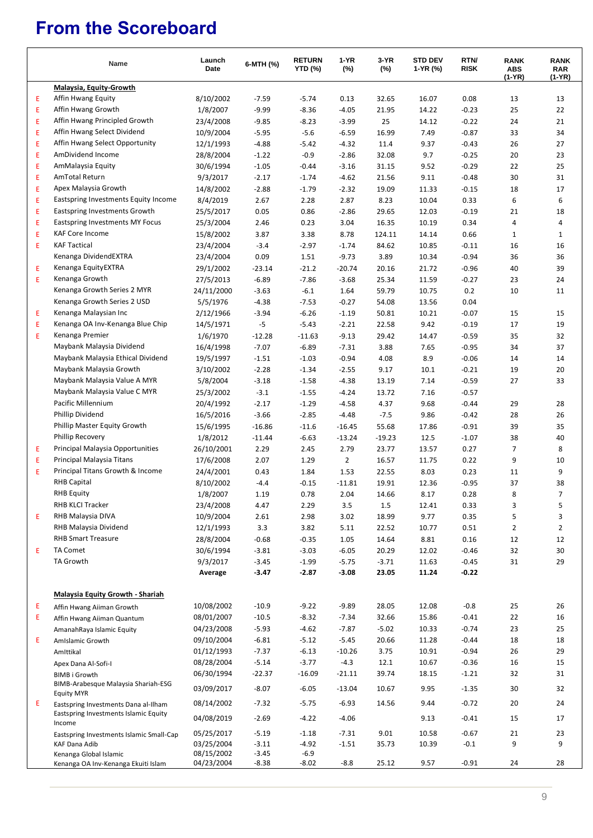# **From the Scoreboard**

|   | Name                                                     | Launch<br>Date | 6-MTH (%) | <b>RETURN</b><br><b>YTD (%)</b> | 1-YR<br>$(\%)$ | 3-YR<br>(%) | <b>STD DEV</b><br>1-YR (%) | RTN/<br><b>RISK</b> | <b>RANK</b><br><b>ABS</b><br>(1-YR) | <b>RANK</b><br><b>RAR</b><br>(1-YR) |
|---|----------------------------------------------------------|----------------|-----------|---------------------------------|----------------|-------------|----------------------------|---------------------|-------------------------------------|-------------------------------------|
|   | Malaysia, Equity-Growth                                  |                |           |                                 |                |             |                            |                     |                                     |                                     |
| Ε | Affin Hwang Equity                                       | 8/10/2002      | $-7.59$   | $-5.74$                         | 0.13           | 32.65       | 16.07                      | 0.08                | 13                                  | 13                                  |
| Ε | Affin Hwang Growth                                       | 1/8/2007       | $-9.99$   | $-8.36$                         | $-4.05$        | 21.95       | 14.22                      | $-0.23$             | 25                                  | 22                                  |
| Ε | Affin Hwang Principled Growth                            | 23/4/2008      | $-9.85$   | $-8.23$                         | $-3.99$        | 25          | 14.12                      | $-0.22$             | 24                                  | 21                                  |
| Ε | Affin Hwang Select Dividend                              | 10/9/2004      | $-5.95$   | $-5.6$                          | $-6.59$        | 16.99       | 7.49                       | $-0.87$             | 33                                  | 34                                  |
| Ε | Affin Hwang Select Opportunity                           | 12/1/1993      | $-4.88$   | $-5.42$                         | $-4.32$        | 11.4        | 9.37                       | $-0.43$             | 26                                  | 27                                  |
| Ε | AmDividend Income                                        | 28/8/2004      | $-1.22$   | $-0.9$                          | $-2.86$        | 32.08       | 9.7                        | $-0.25$             | 20                                  | 23                                  |
| Ε | AmMalaysia Equity                                        | 30/6/1994      | $-1.05$   | $-0.44$                         | $-3.16$        | 31.15       | 9.52                       | $-0.29$             | 22                                  | 25                                  |
| Ε | AmTotal Return                                           | 9/3/2017       | $-2.17$   | $-1.74$                         | $-4.62$        | 21.56       | 9.11                       | $-0.48$             | 30                                  | 31                                  |
| Ε | Apex Malaysia Growth                                     | 14/8/2002      | $-2.88$   | $-1.79$                         | $-2.32$        | 19.09       | 11.33                      | $-0.15$             | 18                                  | 17                                  |
| Ε | Eastspring Investments Equity Income                     | 8/4/2019       | 2.67      | 2.28                            | 2.87           | 8.23        | 10.04                      | 0.33                | 6                                   | 6                                   |
| Ε | Eastspring Investments Growth                            | 25/5/2017      | 0.05      | 0.86                            | $-2.86$        | 29.65       | 12.03                      | $-0.19$             | 21                                  | 18                                  |
| Ε | Eastspring Investments MY Focus                          | 25/3/2004      | 2.46      | 0.23                            | 3.04           | 16.35       | 10.19                      | 0.34                | 4                                   | 4                                   |
| Ε | <b>KAF Core Income</b>                                   | 15/8/2002      | 3.87      | 3.38                            | 8.78           | 124.11      | 14.14                      | 0.66                | $\mathbf{1}$                        | $\mathbf{1}$                        |
| Ε | <b>KAF Tactical</b>                                      | 23/4/2004      | $-3.4$    | $-2.97$                         | $-1.74$        | 84.62       | 10.85                      | $-0.11$             | 16                                  | 16                                  |
|   | Kenanga DividendEXTRA                                    | 23/4/2004      | 0.09      | 1.51                            | $-9.73$        | 3.89        | 10.34                      | $-0.94$             | 36                                  | 36                                  |
| Ε | Kenanga EquityEXTRA                                      | 29/1/2002      | $-23.14$  | $-21.2$                         | $-20.74$       | 20.16       | 21.72                      | $-0.96$             | 40                                  | 39                                  |
| Ε | Kenanga Growth                                           | 27/5/2013      | $-6.89$   | $-7.86$                         | $-3.68$        | 25.34       | 11.59                      | $-0.27$             | 23                                  | 24                                  |
|   | Kenanga Growth Series 2 MYR                              | 24/11/2000     | $-3.63$   | $-6.1$                          | 1.64           | 59.79       | 10.75                      | 0.2                 | 10                                  | 11                                  |
|   | Kenanga Growth Series 2 USD                              | 5/5/1976       | $-4.38$   | $-7.53$                         | $-0.27$        | 54.08       | 13.56                      | 0.04                |                                     |                                     |
| Ε | Kenanga Malaysian Inc                                    | 2/12/1966      | $-3.94$   | $-6.26$                         | $-1.19$        | 50.81       | 10.21                      | $-0.07$             | 15                                  | 15                                  |
| Ε | Kenanga OA Inv-Kenanga Blue Chip                         | 14/5/1971      | $-5$      | $-5.43$                         | $-2.21$        | 22.58       | 9.42                       | $-0.19$             | 17                                  | 19                                  |
| Ε | Kenanga Premier                                          | 1/6/1970       | $-12.28$  | $-11.63$                        | $-9.13$        | 29.42       | 14.47                      | $-0.59$             | 35                                  | 32                                  |
|   | Maybank Malaysia Dividend                                | 16/4/1998      | $-7.07$   | $-6.89$                         | $-7.31$        | 3.88        | 7.65                       | $-0.95$             | 34                                  | 37                                  |
|   | Maybank Malaysia Ethical Dividend                        | 19/5/1997      | $-1.51$   | $-1.03$                         | $-0.94$        | 4.08        | 8.9                        | $-0.06$             | 14                                  | 14                                  |
|   | Maybank Malaysia Growth                                  | 3/10/2002      | $-2.28$   | $-1.34$                         | $-2.55$        | 9.17        | 10.1                       | $-0.21$             | 19                                  | 20                                  |
|   | Maybank Malaysia Value A MYR                             | 5/8/2004       | $-3.18$   | $-1.58$                         | $-4.38$        | 13.19       | 7.14                       | $-0.59$             | 27                                  | 33                                  |
|   | Maybank Malaysia Value C MYR                             | 25/3/2002      | $-3.1$    | $-1.55$                         | $-4.24$        | 13.72       | 7.16                       | $-0.57$             |                                     |                                     |
|   | Pacific Millennium                                       | 20/4/1992      | $-2.17$   | $-1.29$                         | $-4.58$        | 4.37        | 9.68                       | $-0.44$             | 29                                  | 28                                  |
|   | Phillip Dividend                                         | 16/5/2016      | $-3.66$   | $-2.85$                         | $-4.48$        | $-7.5$      | 9.86                       | $-0.42$             | 28                                  | 26                                  |
|   | Phillip Master Equity Growth                             | 15/6/1995      | $-16.86$  | $-11.6$                         | $-16.45$       | 55.68       | 17.86                      | $-0.91$             | 39                                  | 35                                  |
|   | Phillip Recovery                                         | 1/8/2012       | $-11.44$  | $-6.63$                         | $-13.24$       | $-19.23$    | 12.5                       | $-1.07$             | 38                                  | 40                                  |
| Ε | Principal Malaysia Opportunities                         | 26/10/2001     | 2.29      | 2.45                            | 2.79           | 23.77       | 13.57                      | 0.27                | 7                                   | 8                                   |
| Ε | Principal Malaysia Titans                                | 17/6/2008      | 2.07      | 1.29                            | $\overline{2}$ | 16.57       | 11.75                      | 0.22                | 9                                   | 10                                  |
| Ε | Principal Titans Growth & Income                         | 24/4/2001      | 0.43      | 1.84                            | 1.53           | 22.55       | 8.03                       | 0.23                | 11                                  | 9                                   |
|   | <b>RHB Capital</b>                                       | 8/10/2002      | $-4.4$    | $-0.15$                         | $-11.81$       | 19.91       | 12.36                      | $-0.95$             | 37                                  | 38                                  |
|   | <b>RHB Equity</b>                                        | 1/8/2007       | 1.19      | 0.78                            | 2.04           | 14.66       | 8.17                       | 0.28                | 8                                   | $\overline{7}$                      |
|   | RHB KLCI Tracker                                         | 23/4/2008      | 4.47      | 2.29                            | 3.5            | 1.5         | 12.41                      | 0.33                | 3                                   | 5                                   |
| Ε | RHB Malaysia DIVA                                        | 10/9/2004      | 2.61      | 2.98                            | 3.02           | 18.99       | 9.77                       | 0.35                | 5                                   | 3                                   |
|   | RHB Malaysia Dividend                                    | 12/1/1993      | 3.3       | 3.82                            | 5.11           | 22.52       | 10.77                      | 0.51                | 2                                   | $\overline{2}$                      |
|   | <b>RHB Smart Treasure</b>                                | 28/8/2004      | $-0.68$   | $-0.35$                         | 1.05           | 14.64       | 8.81                       | 0.16                | 12                                  | 12                                  |
| Ε | TA Comet                                                 | 30/6/1994      | $-3.81$   | $-3.03$                         | $-6.05$        | 20.29       | 12.02                      | $-0.46$             | 32                                  | 30                                  |
|   | <b>TA Growth</b>                                         | 9/3/2017       | $-3.45$   | $-1.99$                         | $-5.75$        | $-3.71$     | 11.63                      | $-0.45$             | 31                                  | 29                                  |
|   |                                                          | Average        | $-3.47$   | $-2.87$                         | $-3.08$        | 23.05       | 11.24                      | $-0.22$             |                                     |                                     |
|   | <b>Malaysia Equity Growth - Shariah</b>                  |                |           |                                 |                |             |                            |                     |                                     |                                     |
| Ε | Affin Hwang Aiiman Growth                                | 10/08/2002     | $-10.9$   | $-9.22$                         | $-9.89$        | 28.05       | 12.08                      | $-0.8$              | 25                                  | 26                                  |
| Ε | Affin Hwang Aiiman Quantum                               | 08/01/2007     | $-10.5$   | $-8.32$                         | $-7.34$        | 32.66       | 15.86                      | $-0.41$             | 22                                  | 16                                  |
|   | AmanahRaya Islamic Equity                                | 04/23/2008     | $-5.93$   | $-4.62$                         | $-7.87$        | $-5.02$     | 10.33                      | $-0.74$             | 23                                  | 25                                  |
| Е | AmIslamic Growth                                         | 09/10/2004     | $-6.81$   | $-5.12$                         | $-5.45$        | 20.66       | 11.28                      | $-0.44$             | 18                                  | 18                                  |
|   | Amittikal                                                | 01/12/1993     | $-7.37$   | $-6.13$                         | $-10.26$       | 3.75        | 10.91                      | $-0.94$             | 26                                  | 29                                  |
|   | Apex Dana Al-Sofi-I                                      | 08/28/2004     | $-5.14$   | $-3.77$                         | $-4.3$         | 12.1        | 10.67                      | $-0.36$             | 16                                  | 15                                  |
|   | <b>BIMB</b> i Growth                                     | 06/30/1994     | $-22.37$  | $-16.09$                        | $-21.11$       | 39.74       | 18.15                      | $-1.21$             | 32                                  | 31                                  |
|   | BIMB-Arabesque Malaysia Shariah-ESG<br><b>Equity MYR</b> | 03/09/2017     | $-8.07$   | $-6.05$                         | $-13.04$       | 10.67       | 9.95                       | $-1.35$             | 30                                  | 32                                  |
| Ε | Eastspring Investments Dana al-Ilham                     | 08/14/2002     | $-7.32$   | $-5.75$                         | $-6.93$        | 14.56       | 9.44                       | $-0.72$             | 20                                  | 24                                  |
|   | Eastspring Investments Islamic Equity<br>Income          | 04/08/2019     | $-2.69$   | $-4.22$                         | $-4.06$        |             | 9.13                       | $-0.41$             | 15                                  | 17                                  |
|   | Eastspring Investments Islamic Small-Cap                 | 05/25/2017     | $-5.19$   | $-1.18$                         | $-7.31$        | 9.01        | 10.58                      | $-0.67$             | 21                                  | 23                                  |
|   | KAF Dana Adib                                            | 03/25/2004     | $-3.11$   | $-4.92$                         | $-1.51$        | 35.73       | 10.39                      | $-0.1$              | 9                                   | 9                                   |
|   | Kenanga Global Islamic                                   | 08/15/2002     | $-3.45$   | $-6.9$                          |                |             |                            |                     |                                     |                                     |
|   | Kenanga OA Inv-Kenanga Ekuiti Islam                      | 04/23/2004     | -8.38     | -8.02                           | $-8.8$         | 25.12       | 9.57                       | $-0.91$             | 24                                  | 28                                  |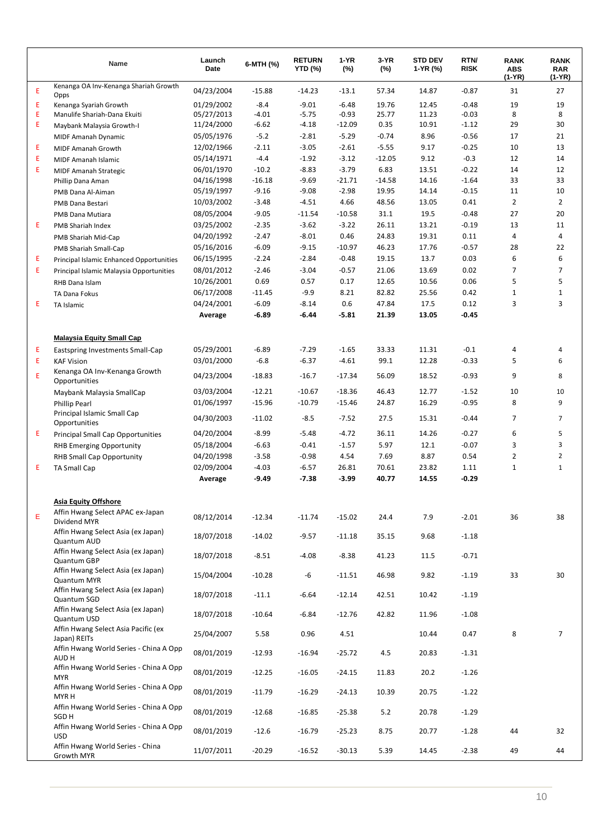|   | Name                                                       | Launch<br>Date | 6-MTH (%) | <b>RETURN</b><br><b>YTD (%)</b> | $1-YR$<br>$(\%)$ | $3-YR$<br>$(\%)$ | <b>STD DEV</b><br>1-YR (%) | RTN/<br><b>RISK</b> | <b>RANK</b><br><b>ABS</b><br>(1-YR) | <b>RANK</b><br><b>RAR</b><br>(1-YR) |
|---|------------------------------------------------------------|----------------|-----------|---------------------------------|------------------|------------------|----------------------------|---------------------|-------------------------------------|-------------------------------------|
| E | Kenanga OA Inv-Kenanga Shariah Growth<br>Opps              | 04/23/2004     | $-15.88$  | $-14.23$                        | $-13.1$          | 57.34            | 14.87                      | $-0.87$             | 31                                  | 27                                  |
| Е | Kenanga Syariah Growth                                     | 01/29/2002     | $-8.4$    | $-9.01$                         | $-6.48$          | 19.76            | 12.45                      | $-0.48$             | 19                                  | 19                                  |
| E | Manulife Shariah-Dana Ekuiti                               | 05/27/2013     | $-4.01$   | $-5.75$                         | $-0.93$          | 25.77            | 11.23                      | $-0.03$             | 8                                   | 8                                   |
| Е | Maybank Malaysia Growth-I                                  | 11/24/2000     | $-6.62$   | $-4.18$                         | $-12.09$         | 0.35             | 10.91                      | $-1.12$             | 29                                  | 30                                  |
|   | MIDF Amanah Dynamic                                        | 05/05/1976     | $-5.2$    | $-2.81$                         | $-5.29$          | $-0.74$          | 8.96                       | $-0.56$             | 17                                  | 21                                  |
| Е | MIDF Amanah Growth                                         | 12/02/1966     | $-2.11$   | $-3.05$                         | $-2.61$          | $-5.55$          | 9.17                       | $-0.25$             | 10                                  | 13                                  |
| E | MIDF Amanah Islamic                                        | 05/14/1971     | $-4.4$    | $-1.92$                         | $-3.12$          | $-12.05$         | 9.12                       | $-0.3$              | 12                                  | 14                                  |
| Е | <b>MIDF Amanah Strategic</b>                               | 06/01/1970     | $-10.2$   | $-8.83$                         | $-3.79$          | 6.83             | 13.51                      | $-0.22$             | 14                                  | 12                                  |
|   | Phillip Dana Aman                                          | 04/16/1998     | $-16.18$  | $-9.69$                         | $-21.71$         | $-14.58$         | 14.16                      | $-1.64$             | 33                                  | 33                                  |
|   | PMB Dana Al-Aiman                                          | 05/19/1997     | $-9.16$   | $-9.08$                         | $-2.98$          | 19.95            | 14.14                      | $-0.15$             | 11                                  | 10                                  |
|   | <b>PMB Dana Bestari</b>                                    | 10/03/2002     | $-3.48$   | $-4.51$                         | 4.66             | 48.56            | 13.05                      | 0.41                | $\overline{2}$                      | $\overline{2}$                      |
|   | PMB Dana Mutiara                                           | 08/05/2004     | $-9.05$   | $-11.54$                        | $-10.58$         | 31.1             | 19.5                       | $-0.48$             | 27                                  | 20                                  |
| Е | PMB Shariah Index                                          | 03/25/2002     | $-2.35$   | $-3.62$                         | $-3.22$          | 26.11            | 13.21                      | $-0.19$             | 13                                  | 11                                  |
|   | PMB Shariah Mid-Cap                                        | 04/20/1992     | $-2.47$   | $-8.01$                         | 0.46             | 24.83            | 19.31                      | 0.11                | 4                                   | 4                                   |
|   | PMB Shariah Small-Cap                                      | 05/16/2016     | $-6.09$   | $-9.15$                         | $-10.97$         | 46.23            | 17.76                      | $-0.57$             | 28                                  | 22                                  |
| Е | <b>Principal Islamic Enhanced Opportunities</b>            | 06/15/1995     | $-2.24$   | $-2.84$                         | $-0.48$          | 19.15            | 13.7                       | 0.03                | 6                                   | 6                                   |
| Е | Principal Islamic Malaysia Opportunities                   | 08/01/2012     | $-2.46$   | $-3.04$                         | $-0.57$          | 21.06            | 13.69                      | 0.02                | 7                                   | 7                                   |
|   | RHB Dana Islam                                             | 10/26/2001     | 0.69      | 0.57                            | 0.17             | 12.65            | 10.56                      | 0.06                | 5                                   | 5                                   |
|   | TA Dana Fokus                                              | 06/17/2008     | $-11.45$  | $-9.9$                          | 8.21             | 82.82            | 25.56                      | 0.42                | 1                                   | $\mathbf{1}$                        |
| Е | TA Islamic                                                 | 04/24/2001     | $-6.09$   | $-8.14$                         | 0.6              | 47.84            | 17.5                       | 0.12                | 3                                   | 3                                   |
|   |                                                            | Average        | $-6.89$   | $-6.44$                         | $-5.81$          | 21.39            | 13.05                      | $-0.45$             |                                     |                                     |
|   | <b>Malaysia Equity Small Cap</b>                           |                |           |                                 |                  |                  |                            |                     |                                     |                                     |
| Ε | Eastspring Investments Small-Cap                           | 05/29/2001     | $-6.89$   | $-7.29$                         | $-1.65$          | 33.33            | 11.31                      | $-0.1$              | 4                                   | 4                                   |
| Е | <b>KAF Vision</b>                                          | 03/01/2000     | $-6.8$    | $-6.37$                         | $-4.61$          | 99.1             | 12.28                      | $-0.33$             | 5                                   | 6                                   |
| E | Kenanga OA Inv-Kenanga Growth<br>Opportunities             | 04/23/2004     | $-18.83$  | $-16.7$                         | $-17.34$         | 56.09            | 18.52                      | $-0.93$             | 9                                   | 8                                   |
|   | Maybank Malaysia SmallCap                                  | 03/03/2004     | $-12.21$  | $-10.67$                        | $-18.36$         | 46.43            | 12.77                      | $-1.52$             | 10                                  | 10                                  |
|   | <b>Phillip Pearl</b>                                       | 01/06/1997     | $-15.96$  | $-10.79$                        | $-15.46$         | 24.87            | 16.29                      | $-0.95$             | 8                                   | 9                                   |
|   | Principal Islamic Small Cap<br>Opportunities               | 04/30/2003     | $-11.02$  | $-8.5$                          | $-7.52$          | 27.5             | 15.31                      | $-0.44$             | 7                                   | $\overline{7}$                      |
| Ε | <b>Principal Small Cap Opportunities</b>                   | 04/20/2004     | $-8.99$   | $-5.48$                         | $-4.72$          | 36.11            | 14.26                      | $-0.27$             | 6                                   | 5                                   |
|   | <b>RHB Emerging Opportunity</b>                            | 05/18/2004     | $-6.63$   | $-0.41$                         | $-1.57$          | 5.97             | 12.1                       | $-0.07$             | 3                                   | 3                                   |
|   | <b>RHB Small Cap Opportunity</b>                           | 04/20/1998     | $-3.58$   | $-0.98$                         | 4.54             | 7.69             | 8.87                       | 0.54                | $\overline{2}$                      | $\overline{2}$                      |
| Е | <b>TA Small Cap</b>                                        | 02/09/2004     | $-4.03$   | $-6.57$                         | 26.81            | 70.61            | 23.82                      | 1.11                | $\mathbf 1$                         | $\mathbf{1}$                        |
|   |                                                            | Average        | $-9.49$   | $-7.38$                         | $-3.99$          | 40.77            | 14.55                      | $-0.29$             |                                     |                                     |
|   | <b>Asia Equity Offshore</b>                                |                |           |                                 |                  |                  |                            |                     |                                     |                                     |
| E | Affin Hwang Select APAC ex-Japan                           | 08/12/2014     | $-12.34$  | $-11.74$                        | $-15.02$         |                  | 7.9                        | $-2.01$             | 36                                  | 38                                  |
|   | Dividend MYR                                               |                |           |                                 |                  | 24.4             |                            |                     |                                     |                                     |
|   | Affin Hwang Select Asia (ex Japan)<br>Quantum AUD          | 18/07/2018     | $-14.02$  | $-9.57$                         | $-11.18$         | 35.15            | 9.68                       | $-1.18$             |                                     |                                     |
|   | Affin Hwang Select Asia (ex Japan)<br>Quantum GBP          | 18/07/2018     | $-8.51$   | $-4.08$                         | $-8.38$          | 41.23            | 11.5                       | $-0.71$             |                                     |                                     |
|   | Affin Hwang Select Asia (ex Japan)<br>Quantum MYR          | 15/04/2004     | $-10.28$  | -6                              | $-11.51$         | 46.98            | 9.82                       | $-1.19$             | 33                                  | 30                                  |
|   | Affin Hwang Select Asia (ex Japan)<br>Quantum SGD          | 18/07/2018     | $-11.1$   | $-6.64$                         | $-12.14$         | 42.51            | 10.42                      | $-1.19$             |                                     |                                     |
|   | Affin Hwang Select Asia (ex Japan)<br>Quantum USD          | 18/07/2018     | $-10.64$  | $-6.84$                         | $-12.76$         | 42.82            | 11.96                      | $-1.08$             |                                     |                                     |
|   | Affin Hwang Select Asia Pacific (ex<br>Japan) REITs        | 25/04/2007     | 5.58      | 0.96                            | 4.51             |                  | 10.44                      | 0.47                | 8                                   | $\overline{7}$                      |
|   | Affin Hwang World Series - China A Opp<br>AUD H            | 08/01/2019     | $-12.93$  | $-16.94$                        | $-25.72$         | 4.5              | 20.83                      | $-1.31$             |                                     |                                     |
|   | Affin Hwang World Series - China A Opp<br><b>MYR</b>       | 08/01/2019     | $-12.25$  | $-16.05$                        | $-24.15$         | 11.83            | 20.2                       | $-1.26$             |                                     |                                     |
|   | Affin Hwang World Series - China A Opp<br>MYR H            | 08/01/2019     | $-11.79$  | $-16.29$                        | $-24.13$         | 10.39            | 20.75                      | $-1.22$             |                                     |                                     |
|   | Affin Hwang World Series - China A Opp<br>SGD <sub>H</sub> | 08/01/2019     | $-12.68$  | $-16.85$                        | $-25.38$         | 5.2              | 20.78                      | $-1.29$             |                                     |                                     |
|   | Affin Hwang World Series - China A Opp<br><b>USD</b>       | 08/01/2019     | $-12.6$   | $-16.79$                        | $-25.23$         | 8.75             | 20.77                      | $-1.28$             | 44                                  | 32                                  |
|   | Affin Hwang World Series - China<br>Growth MYR             | 11/07/2011     | $-20.29$  | $-16.52$                        | $-30.13$         | 5.39             | 14.45                      | $-2.38$             | 49                                  | 44                                  |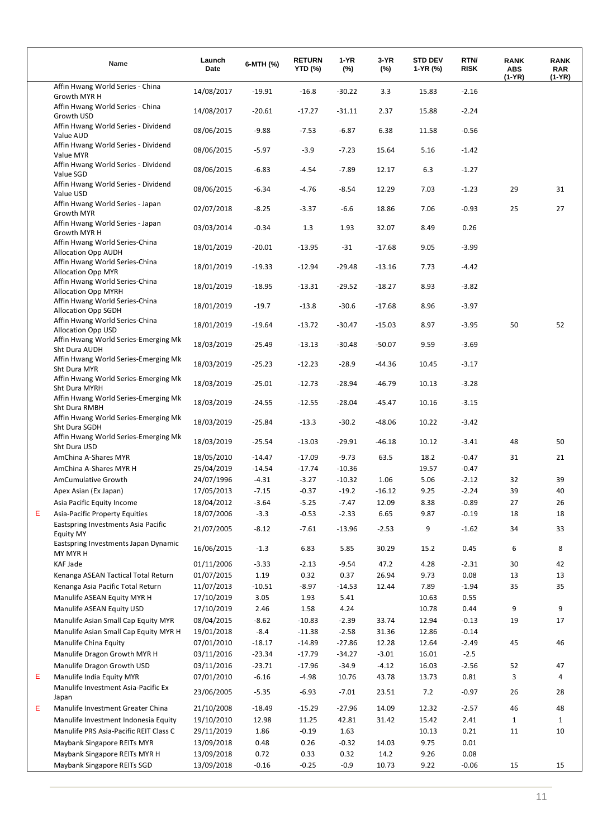|   | Name                                                         | Launch<br>Date | 6-MTH (%) | <b>RETURN</b><br><b>YTD (%)</b> | 1-YR<br>$(\%)$ | 3-YR<br>(%) | <b>STD DEV</b><br>1-YR (%) | RTN/<br><b>RISK</b> | <b>RANK</b><br><b>ABS</b><br>(1-YR) | <b>RANK</b><br><b>RAR</b><br>(1-YR) |
|---|--------------------------------------------------------------|----------------|-----------|---------------------------------|----------------|-------------|----------------------------|---------------------|-------------------------------------|-------------------------------------|
|   | Affin Hwang World Series - China<br>Growth MYR H             | 14/08/2017     | $-19.91$  | $-16.8$                         | $-30.22$       | 3.3         | 15.83                      | $-2.16$             |                                     |                                     |
|   | Affin Hwang World Series - China<br>Growth USD               | 14/08/2017     | $-20.61$  | $-17.27$                        | $-31.11$       | 2.37        | 15.88                      | $-2.24$             |                                     |                                     |
|   | Affin Hwang World Series - Dividend<br>Value AUD             | 08/06/2015     | $-9.88$   | $-7.53$                         | $-6.87$        | 6.38        | 11.58                      | $-0.56$             |                                     |                                     |
|   | Affin Hwang World Series - Dividend<br>Value MYR             | 08/06/2015     | $-5.97$   | $-3.9$                          | $-7.23$        | 15.64       | 5.16                       | $-1.42$             |                                     |                                     |
|   | Affin Hwang World Series - Dividend<br>Value SGD             | 08/06/2015     | $-6.83$   | $-4.54$                         | $-7.89$        | 12.17       | 6.3                        | $-1.27$             |                                     |                                     |
|   | Affin Hwang World Series - Dividend<br>Value USD             | 08/06/2015     | $-6.34$   | $-4.76$                         | $-8.54$        | 12.29       | 7.03                       | $-1.23$             | 29                                  | 31                                  |
|   | Affin Hwang World Series - Japan<br>Growth MYR               | 02/07/2018     | $-8.25$   | $-3.37$                         | $-6.6$         | 18.86       | 7.06                       | $-0.93$             | 25                                  | 27                                  |
|   | Affin Hwang World Series - Japan<br>Growth MYR H             | 03/03/2014     | $-0.34$   | 1.3                             | 1.93           | 32.07       | 8.49                       | 0.26                |                                     |                                     |
|   | Affin Hwang World Series-China<br><b>Allocation Opp AUDH</b> | 18/01/2019     | $-20.01$  | $-13.95$                        | $-31$          | $-17.68$    | 9.05                       | $-3.99$             |                                     |                                     |
|   | Affin Hwang World Series-China<br><b>Allocation Opp MYR</b>  | 18/01/2019     | $-19.33$  | $-12.94$                        | $-29.48$       | $-13.16$    | 7.73                       | $-4.42$             |                                     |                                     |
|   | Affin Hwang World Series-China<br><b>Allocation Opp MYRH</b> | 18/01/2019     | $-18.95$  | $-13.31$                        | $-29.52$       | $-18.27$    | 8.93                       | $-3.82$             |                                     |                                     |
|   | Affin Hwang World Series-China<br><b>Allocation Opp SGDH</b> | 18/01/2019     | $-19.7$   | $-13.8$                         | $-30.6$        | $-17.68$    | 8.96                       | $-3.97$             |                                     |                                     |
|   | Affin Hwang World Series-China<br><b>Allocation Opp USD</b>  | 18/01/2019     | $-19.64$  | $-13.72$                        | $-30.47$       | $-15.03$    | 8.97                       | $-3.95$             | 50                                  | 52                                  |
|   | Affin Hwang World Series-Emerging Mk<br>Sht Dura AUDH        | 18/03/2019     | $-25.49$  | $-13.13$                        | $-30.48$       | $-50.07$    | 9.59                       | $-3.69$             |                                     |                                     |
|   | Affin Hwang World Series-Emerging Mk<br>Sht Dura MYR         | 18/03/2019     | $-25.23$  | $-12.23$                        | $-28.9$        | -44.36      | 10.45                      | $-3.17$             |                                     |                                     |
|   | Affin Hwang World Series-Emerging Mk<br>Sht Dura MYRH        | 18/03/2019     | $-25.01$  | $-12.73$                        | $-28.94$       | $-46.79$    | 10.13                      | $-3.28$             |                                     |                                     |
|   | Affin Hwang World Series-Emerging Mk<br>Sht Dura RMBH        | 18/03/2019     | $-24.55$  | $-12.55$                        | $-28.04$       | -45.47      | 10.16                      | $-3.15$             |                                     |                                     |
|   | Affin Hwang World Series-Emerging Mk<br>Sht Dura SGDH        | 18/03/2019     | $-25.84$  | $-13.3$                         | $-30.2$        | $-48.06$    | 10.22                      | $-3.42$             |                                     |                                     |
|   | Affin Hwang World Series-Emerging Mk<br>Sht Dura USD         | 18/03/2019     | $-25.54$  | $-13.03$                        | $-29.91$       | $-46.18$    | 10.12                      | $-3.41$             | 48                                  | 50                                  |
|   | AmChina A-Shares MYR                                         | 18/05/2010     | $-14.47$  | $-17.09$                        | $-9.73$        | 63.5        | 18.2                       | $-0.47$             | 31                                  | 21                                  |
|   | AmChina A-Shares MYR H                                       | 25/04/2019     | $-14.54$  | $-17.74$                        | $-10.36$       |             | 19.57                      | $-0.47$             |                                     |                                     |
|   | AmCumulative Growth                                          | 24/07/1996     | $-4.31$   | $-3.27$                         | $-10.32$       | 1.06        | 5.06                       | $-2.12$             | 32                                  | 39                                  |
|   | Apex Asian (Ex Japan)                                        | 17/05/2013     | $-7.15$   | $-0.37$                         | $-19.2$        | $-16.12$    | 9.25                       | $-2.24$             | 39                                  | 40                                  |
|   | Asia Pacific Equity Income                                   | 18/04/2012     | $-3.64$   | $-5.25$                         | $-7.47$        | 12.09       | 8.38                       | $-0.89$             | 27                                  | 26                                  |
| Е | <b>Asia-Pacific Property Equities</b>                        | 18/07/2006     | $-3.3$    | $-0.53$                         | $-2.33$        | 6.65        | 9.87                       | $-0.19$             | 18                                  | 18                                  |
|   | Eastspring Investments Asia Pacific<br><b>Equity MY</b>      | 21/07/2005     | $-8.12$   | $-7.61$                         | $-13.96$       | $-2.53$     | 9                          | $-1.62$             | 34                                  | 33                                  |
|   | Eastspring Investments Japan Dynamic<br>MY MYR H             | 16/06/2015     | $-1.3$    | 6.83                            | 5.85           | 30.29       | 15.2                       | 0.45                | 6                                   | 8                                   |
|   | KAF Jade                                                     | 01/11/2006     | $-3.33$   | $-2.13$                         | $-9.54$        | 47.2        | 4.28                       | $-2.31$             | 30                                  | 42                                  |
|   | Kenanga ASEAN Tactical Total Return                          | 01/07/2015     | 1.19      | 0.32                            | 0.37           | 26.94       | 9.73                       | 0.08                | 13                                  | 13                                  |
|   | Kenanga Asia Pacific Total Return                            | 11/07/2013     | $-10.51$  | $-8.97$                         | $-14.53$       | 12.44       | 7.89                       | $-1.94$             | 35                                  | 35                                  |
|   | Manulife ASEAN Equity MYR H                                  | 17/10/2019     | 3.05      | 1.93                            | 5.41           |             | 10.63                      | 0.55                |                                     |                                     |
|   | Manulife ASEAN Equity USD                                    | 17/10/2019     | 2.46      | 1.58                            | 4.24           |             | 10.78                      | 0.44                | 9                                   | 9                                   |
|   | Manulife Asian Small Cap Equity MYR                          | 08/04/2015     | $-8.62$   | $-10.83$                        | $-2.39$        | 33.74       | 12.94                      | $-0.13$             | 19                                  | 17                                  |
|   | Manulife Asian Small Cap Equity MYR H                        | 19/01/2018     | $-8.4$    | $-11.38$                        | $-2.58$        | 31.36       | 12.86                      | $-0.14$             |                                     |                                     |
|   | Manulife China Equity                                        | 07/01/2010     | $-18.17$  | $-14.89$                        | $-27.86$       | 12.28       | 12.64                      | $-2.49$             | 45                                  | 46                                  |
|   | Manulife Dragon Growth MYR H                                 | 03/11/2016     | $-23.34$  | $-17.79$                        | $-34.27$       | $-3.01$     | 16.01                      | $-2.5$              |                                     |                                     |
|   | Manulife Dragon Growth USD                                   | 03/11/2016     | $-23.71$  | $-17.96$                        | $-34.9$        | $-4.12$     | 16.03                      | $-2.56$             | 52                                  | 47                                  |
| Е | Manulife India Equity MYR                                    | 07/01/2010     | $-6.16$   | -4.98                           | 10.76          | 43.78       | 13.73                      | 0.81                | 3                                   | 4                                   |
|   | Manulife Investment Asia-Pacific Ex<br>Japan                 | 23/06/2005     | $-5.35$   | $-6.93$                         | $-7.01$        | 23.51       | 7.2                        | $-0.97$             | 26                                  | 28                                  |
| Е | Manulife Investment Greater China                            | 21/10/2008     | $-18.49$  | $-15.29$                        | $-27.96$       | 14.09       | 12.32                      | $-2.57$             | 46                                  | 48                                  |
|   | Manulife Investment Indonesia Equity                         | 19/10/2010     | 12.98     | 11.25                           | 42.81          | 31.42       | 15.42                      | 2.41                | 1                                   | $\mathbf{1}$                        |
|   | Manulife PRS Asia-Pacific REIT Class C                       | 29/11/2019     | 1.86      | $-0.19$                         | 1.63           |             | 10.13                      | 0.21                | 11                                  | 10                                  |
|   | Maybank Singapore REITs MYR                                  | 13/09/2018     | 0.48      | 0.26                            | $-0.32$        | 14.03       | 9.75                       | 0.01                |                                     |                                     |
|   | Maybank Singapore REITs MYR H                                | 13/09/2018     | 0.72      | 0.33                            | 0.32           | 14.2        | 9.26                       | 0.08                |                                     |                                     |
|   | Maybank Singapore REITs SGD                                  | 13/09/2018     | -0.16     | $-0.25$                         | $-0.9$         | 10.73       | 9.22                       | $-0.06$             | 15                                  | 15                                  |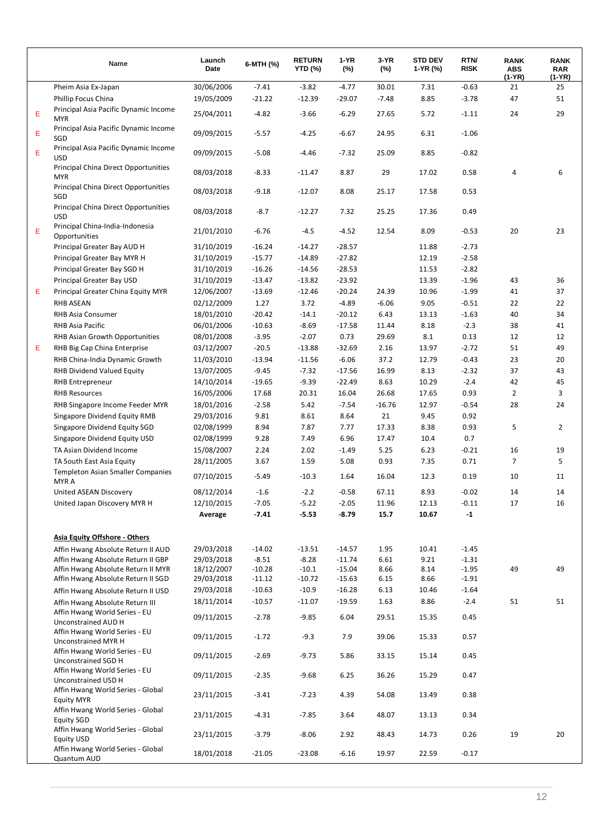|   | Name                                                                  | Launch<br>Date           | 6-MTH (%)           | <b>RETURN</b><br>YTD (%) | 1-YR<br>$(\%)$   | 3-YR<br>(%)   | <b>STD DEV</b><br>1-YR (%) | RTN/<br><b>RISK</b> | <b>RANK</b><br><b>ABS</b><br>(1-YR) | <b>RANK</b><br><b>RAR</b><br>(1-YR) |
|---|-----------------------------------------------------------------------|--------------------------|---------------------|--------------------------|------------------|---------------|----------------------------|---------------------|-------------------------------------|-------------------------------------|
|   | Pheim Asia Ex-Japan                                                   | 30/06/2006               | $-7.41$             | $-3.82$                  | $-4.77$          | 30.01         | 7.31                       | $-0.63$             | 21                                  | 25                                  |
|   | Phillip Focus China                                                   | 19/05/2009               | $-21.22$            | $-12.39$                 | $-29.07$         | $-7.48$       | 8.85                       | $-3.78$             | 47                                  | 51                                  |
| Ε | Principal Asia Pacific Dynamic Income<br><b>MYR</b>                   | 25/04/2011               | $-4.82$             | $-3.66$                  | $-6.29$          | 27.65         | 5.72                       | $-1.11$             | 24                                  | 29                                  |
| Ε | Principal Asia Pacific Dynamic Income<br>SGD                          | 09/09/2015               | $-5.57$             | $-4.25$                  | $-6.67$          | 24.95         | 6.31                       | $-1.06$             |                                     |                                     |
| Ε | Principal Asia Pacific Dynamic Income<br><b>USD</b>                   | 09/09/2015               | $-5.08$             | $-4.46$                  | $-7.32$          | 25.09         | 8.85                       | $-0.82$             |                                     |                                     |
|   | <b>Principal China Direct Opportunities</b><br><b>MYR</b>             | 08/03/2018               | $-8.33$             | $-11.47$                 | 8.87             | 29            | 17.02                      | 0.58                | 4                                   | 6                                   |
|   | <b>Principal China Direct Opportunities</b><br>SGD                    | 08/03/2018               | $-9.18$             | $-12.07$                 | 8.08             | 25.17         | 17.58                      | 0.53                |                                     |                                     |
|   | <b>Principal China Direct Opportunities</b><br><b>USD</b>             | 08/03/2018               | $-8.7$              | $-12.27$                 | 7.32             | 25.25         | 17.36                      | 0.49                |                                     |                                     |
| Ε | Principal China-India-Indonesia<br>Opportunities                      | 21/01/2010               | $-6.76$             | $-4.5$                   | $-4.52$          | 12.54         | 8.09                       | $-0.53$             | 20                                  | 23                                  |
|   | Principal Greater Bay AUD H                                           | 31/10/2019               | $-16.24$            | $-14.27$                 | $-28.57$         |               | 11.88                      | $-2.73$             |                                     |                                     |
|   | Principal Greater Bay MYR H                                           | 31/10/2019               | $-15.77$            | $-14.89$                 | $-27.82$         |               | 12.19                      | $-2.58$             |                                     |                                     |
|   | Principal Greater Bay SGD H                                           | 31/10/2019               | $-16.26$            | $-14.56$                 | $-28.53$         |               | 11.53                      | $-2.82$             |                                     |                                     |
|   | Principal Greater Bay USD                                             | 31/10/2019               | $-13.47$            | $-13.82$                 | $-23.92$         |               | 13.39                      | $-1.96$             | 43                                  | 36                                  |
| Ε | Principal Greater China Equity MYR                                    | 12/06/2007               | $-13.69$            | $-12.46$                 | $-20.24$         | 24.39         | 10.96                      | $-1.99$             | 41                                  | 37                                  |
|   | <b>RHB ASEAN</b>                                                      | 02/12/2009               | 1.27                | 3.72                     | $-4.89$          | $-6.06$       | 9.05                       | $-0.51$             | 22                                  | 22                                  |
|   | RHB Asia Consumer                                                     | 18/01/2010               | $-20.42$            | $-14.1$                  | $-20.12$         | 6.43          | 13.13                      | $-1.63$             | 40                                  | 34                                  |
|   | <b>RHB Asia Pacific</b>                                               | 06/01/2006               | $-10.63$            | $-8.69$                  | $-17.58$         | 11.44         | 8.18                       | $-2.3$              | 38                                  | 41                                  |
|   |                                                                       |                          |                     |                          |                  |               |                            |                     |                                     |                                     |
|   | RHB Asian Growth Opportunities                                        | 08/01/2008               | $-3.95$             | $-2.07$                  | 0.73             | 29.69         | 8.1                        | 0.13                | 12                                  | 12                                  |
| Ε | RHB Big Cap China Enterprise                                          | 03/12/2007               | $-20.5$             | $-13.88$                 | $-32.69$         | 2.16          | 13.97                      | $-2.72$             | 51                                  | 49                                  |
|   | RHB China-India Dynamic Growth                                        | 11/03/2010               | $-13.94$            | $-11.56$                 | $-6.06$          | 37.2          | 12.79                      | $-0.43$             | 23                                  | 20                                  |
|   | <b>RHB Dividend Valued Equity</b>                                     | 13/07/2005               | $-9.45$             | $-7.32$                  | $-17.56$         | 16.99         | 8.13                       | $-2.32$             | 37                                  | 43                                  |
|   | <b>RHB Entrepreneur</b>                                               | 14/10/2014               | $-19.65$            | $-9.39$                  | $-22.49$         | 8.63          | 10.29                      | $-2.4$              | 42                                  | 45                                  |
|   | <b>RHB Resources</b>                                                  | 16/05/2006               | 17.68               | 20.31                    | 16.04            | 26.68         | 17.65                      | 0.93                | $\overline{2}$                      | 3                                   |
|   | RHB Singapore Income Feeder MYR                                       | 18/01/2016               | $-2.58$             | 5.42                     | $-7.54$          | $-16.76$      | 12.97                      | $-0.54$             | 28                                  | 24                                  |
|   | Singapore Dividend Equity RMB                                         | 29/03/2016               | 9.81                | 8.61                     | 8.64             | 21            | 9.45                       | 0.92                |                                     |                                     |
|   | Singapore Dividend Equity SGD                                         | 02/08/1999               | 8.94                | 7.87                     | 7.77             | 17.33         | 8.38                       | 0.93                | 5                                   | $\overline{2}$                      |
|   | Singapore Dividend Equity USD                                         | 02/08/1999               | 9.28                | 7.49                     | 6.96             | 17.47         | 10.4                       | 0.7                 |                                     |                                     |
|   | TA Asian Dividend Income                                              | 15/08/2007               | 2.24                | 2.02                     | $-1.49$          | 5.25          | 6.23                       | $-0.21$             | 16                                  | 19                                  |
|   | TA South East Asia Equity                                             | 28/11/2005               | 3.67                | 1.59                     | 5.08             | 0.93          | 7.35                       | 0.71                | $\overline{7}$                      | 5                                   |
|   | <b>Templeton Asian Smaller Companies</b><br>MYR A                     | 07/10/2015               | $-5.49$             | $-10.3$                  | 1.64             | 16.04         | 12.3                       | 0.19                | 10                                  | 11                                  |
|   | United ASEAN Discovery                                                | 08/12/2014               | $-1.6$              | $-2.2$                   | $-0.58$          | 67.11         | 8.93                       | $-0.02$             | 14                                  | 14                                  |
|   | United Japan Discovery MYR H                                          | 12/10/2015               | $-7.05$             | $-5.22$                  | $-2.05$          | 11.96         | 12.13                      | $-0.11$             | 17                                  | 16                                  |
|   |                                                                       | Average                  | 7.41                | $-5.53$                  | $-8.79$          | 15.7          | 10.67                      | $-1$                |                                     |                                     |
|   | Asia Equity Offshore - Others                                         |                          |                     |                          |                  |               |                            |                     |                                     |                                     |
|   | Affin Hwang Absolute Return II AUD                                    | 29/03/2018               | $-14.02$            | $-13.51$                 | $-14.57$         | 1.95          | 10.41                      | $-1.45$             |                                     |                                     |
|   | Affin Hwang Absolute Return II GBP                                    | 29/03/2018               | $-8.51$             | $-8.28$                  | $-11.74$         | 6.61          | 9.21                       | $-1.31$             |                                     |                                     |
|   | Affin Hwang Absolute Return II MYR                                    | 18/12/2007               | $-10.28$            | $-10.1$                  | $-15.04$         | 8.66          | 8.14                       | $-1.95$             | 49                                  | 49                                  |
|   | Affin Hwang Absolute Return II SGD                                    | 29/03/2018               | $-11.12$            | $-10.72$                 | $-15.63$         | 6.15          | 8.66                       | $-1.91$             |                                     |                                     |
|   | Affin Hwang Absolute Return II USD                                    | 29/03/2018               | $-10.63$            | $-10.9$                  | $-16.28$         | 6.13          | 10.46                      | $-1.64$             |                                     |                                     |
|   | Affin Hwang Absolute Return III<br>Affin Hwang World Series - EU      | 18/11/2014<br>09/11/2015 | $-10.57$<br>$-2.78$ | $-11.07$<br>$-9.85$      | $-19.59$<br>6.04 | 1.63<br>29.51 | 8.86<br>15.35              | $-2.4$<br>0.45      | 51                                  | 51                                  |
|   | Unconstrained AUD H<br>Affin Hwang World Series - EU                  | 09/11/2015               | $-1.72$             | $-9.3$                   | 7.9              | 39.06         | 15.33                      | 0.57                |                                     |                                     |
|   | Unconstrained MYR H<br>Affin Hwang World Series - EU                  | 09/11/2015               | $-2.69$             | $-9.73$                  | 5.86             | 33.15         | 15.14                      | 0.45                |                                     |                                     |
|   | Unconstrained SGD H<br>Affin Hwang World Series - EU                  | 09/11/2015               | $-2.35$             | $-9.68$                  | 6.25             | 36.26         | 15.29                      | 0.47                |                                     |                                     |
|   | Unconstrained USD H<br>Affin Hwang World Series - Global              | 23/11/2015               | $-3.41$             | $-7.23$                  | 4.39             | 54.08         | 13.49                      | 0.38                |                                     |                                     |
|   | <b>Equity MYR</b><br>Affin Hwang World Series - Global                | 23/11/2015               | $-4.31$             | $-7.85$                  | 3.64             | 48.07         | 13.13                      | 0.34                |                                     |                                     |
|   | <b>Equity SGD</b><br>Affin Hwang World Series - Global                | 23/11/2015               | $-3.79$             | $-8.06$                  | 2.92             | 48.43         | 14.73                      | 0.26                | 19                                  | 20                                  |
|   | <b>Equity USD</b><br>Affin Hwang World Series - Global<br>Quantum AUD | 18/01/2018               | $-21.05$            | $-23.08$                 | -6.16            | 19.97         | 22.59                      | $-0.17$             |                                     |                                     |
|   |                                                                       |                          |                     |                          |                  |               |                            |                     |                                     |                                     |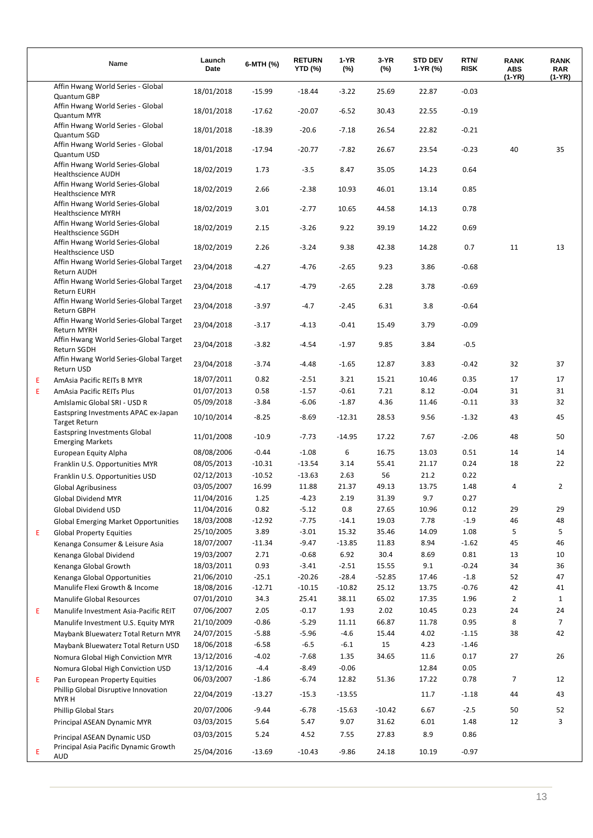|    | Name                                                                   | Launch<br>Date | 6-MTH (%) | <b>RETURN</b><br><b>YTD (%)</b> | 1-YR<br>$(\%)$ | 3-YR<br>$(\%)$ | <b>STD DEV</b><br>1-YR (%) | RTN/<br><b>RISK</b> | <b>RANK</b><br><b>ABS</b><br>(1-YR) | <b>RANK</b><br><b>RAR</b><br>(1-YR) |
|----|------------------------------------------------------------------------|----------------|-----------|---------------------------------|----------------|----------------|----------------------------|---------------------|-------------------------------------|-------------------------------------|
|    | Affin Hwang World Series - Global<br>Quantum GBP                       | 18/01/2018     | $-15.99$  | $-18.44$                        | $-3.22$        | 25.69          | 22.87                      | $-0.03$             |                                     |                                     |
|    | Affin Hwang World Series - Global<br><b>Quantum MYR</b>                | 18/01/2018     | $-17.62$  | $-20.07$                        | $-6.52$        | 30.43          | 22.55                      | $-0.19$             |                                     |                                     |
|    | Affin Hwang World Series - Global<br>Quantum SGD                       | 18/01/2018     | $-18.39$  | $-20.6$                         | $-7.18$        | 26.54          | 22.82                      | $-0.21$             |                                     |                                     |
|    | Affin Hwang World Series - Global<br>Quantum USD                       | 18/01/2018     | $-17.94$  | $-20.77$                        | $-7.82$        | 26.67          | 23.54                      | $-0.23$             | 40                                  | 35                                  |
|    | Affin Hwang World Series-Global<br><b>Healthscience AUDH</b>           | 18/02/2019     | 1.73      | $-3.5$                          | 8.47           | 35.05          | 14.23                      | 0.64                |                                     |                                     |
|    | Affin Hwang World Series-Global<br><b>Healthscience MYR</b>            | 18/02/2019     | 2.66      | $-2.38$                         | 10.93          | 46.01          | 13.14                      | 0.85                |                                     |                                     |
|    | Affin Hwang World Series-Global<br><b>Healthscience MYRH</b>           | 18/02/2019     | 3.01      | $-2.77$                         | 10.65          | 44.58          | 14.13                      | 0.78                |                                     |                                     |
|    | Affin Hwang World Series-Global<br><b>Healthscience SGDH</b>           | 18/02/2019     | 2.15      | $-3.26$                         | 9.22           | 39.19          | 14.22                      | 0.69                |                                     |                                     |
|    | Affin Hwang World Series-Global<br>Healthscience USD                   | 18/02/2019     | 2.26      | $-3.24$                         | 9.38           | 42.38          | 14.28                      | 0.7                 | 11                                  | 13                                  |
|    | Affin Hwang World Series-Global Target<br>Return AUDH                  | 23/04/2018     | $-4.27$   | $-4.76$                         | $-2.65$        | 9.23           | 3.86                       | $-0.68$             |                                     |                                     |
|    | Affin Hwang World Series-Global Target<br><b>Return EURH</b>           | 23/04/2018     | $-4.17$   | $-4.79$                         | $-2.65$        | 2.28           | 3.78                       | $-0.69$             |                                     |                                     |
|    | Affin Hwang World Series-Global Target<br>Return GBPH                  | 23/04/2018     | $-3.97$   | $-4.7$                          | $-2.45$        | 6.31           | 3.8                        | $-0.64$             |                                     |                                     |
|    | Affin Hwang World Series-Global Target<br><b>Return MYRH</b>           | 23/04/2018     | $-3.17$   | $-4.13$                         | $-0.41$        | 15.49          | 3.79                       | $-0.09$             |                                     |                                     |
|    | Affin Hwang World Series-Global Target<br><b>Return SGDH</b>           | 23/04/2018     | $-3.82$   | $-4.54$                         | $-1.97$        | 9.85           | 3.84                       | $-0.5$              |                                     |                                     |
|    | Affin Hwang World Series-Global Target<br>Return USD                   | 23/04/2018     | $-3.74$   | $-4.48$                         | $-1.65$        | 12.87          | 3.83                       | $-0.42$             | 32                                  | 37                                  |
| E. | AmAsia Pacific REITs B MYR                                             | 18/07/2011     | 0.82      | $-2.51$                         | 3.21           | 15.21          | 10.46                      | 0.35                | 17                                  | 17                                  |
| E  | AmAsia Pacific REITs Plus                                              | 01/07/2013     | 0.58      | $-1.57$                         | $-0.61$        | 7.21           | 8.12                       | $-0.04$             | 31                                  | 31                                  |
|    | Amislamic Global SRI - USD R                                           | 05/09/2018     | $-3.84$   | $-6.06$                         | $-1.87$        | 4.36           | 11.46                      | $-0.11$             | 33                                  | 32                                  |
|    | Eastspring Investments APAC ex-Japan<br>Target Return                  | 10/10/2014     | $-8.25$   | $-8.69$                         | $-12.31$       | 28.53          | 9.56                       | $-1.32$             | 43                                  | 45                                  |
|    | Eastspring Investments Global<br><b>Emerging Markets</b>               | 11/01/2008     | $-10.9$   | $-7.73$                         | $-14.95$       | 17.22          | 7.67                       | $-2.06$             | 48                                  | 50                                  |
|    | European Equity Alpha                                                  | 08/08/2006     | $-0.44$   | $-1.08$                         | 6              | 16.75          | 13.03                      | 0.51                | 14                                  | 14                                  |
|    | Franklin U.S. Opportunities MYR                                        | 08/05/2013     | $-10.31$  | $-13.54$                        | 3.14           | 55.41          | 21.17                      | 0.24                | 18                                  | 22                                  |
|    | Franklin U.S. Opportunities USD                                        | 02/12/2013     | $-10.52$  | $-13.63$                        | 2.63           | 56             | 21.2                       | 0.22                |                                     |                                     |
|    | <b>Global Agribusiness</b>                                             | 03/05/2007     | 16.99     | 11.88                           | 21.37          | 49.13          | 13.75                      | 1.48                | 4                                   | $\overline{2}$                      |
|    | <b>Global Dividend MYR</b>                                             | 11/04/2016     | 1.25      | $-4.23$                         | 2.19           | 31.39          | 9.7                        | 0.27                |                                     |                                     |
|    | Global Dividend USD                                                    | 11/04/2016     | 0.82      | $-5.12$                         | 0.8            | 27.65          | 10.96                      | 0.12                | 29                                  | 29                                  |
|    | <b>Global Emerging Market Opportunities</b>                            | 18/03/2008     | $-12.92$  | $-7.75$                         | $-14.1$        | 19.03          | 7.78                       | $-1.9$              | 46                                  | 48                                  |
| E  | <b>Global Property Equities</b>                                        | 25/10/2005     | 3.89      | $-3.01$                         | 15.32          | 35.46          | 14.09                      | 1.08                | 5                                   | 5                                   |
|    | Kenanga Consumer & Leisure Asia                                        | 18/07/2007     | $-11.34$  | $-9.47$                         | $-13.85$       | 11.83          | 8.94                       | $-1.62$             | 45                                  | 46                                  |
|    | Kenanga Global Dividend                                                | 19/03/2007     | 2.71      | $-0.68$                         | 6.92           | 30.4           | 8.69                       | 0.81                | 13                                  | 10                                  |
|    | Kenanga Global Growth                                                  | 18/03/2011     | 0.93      | $-3.41$                         | $-2.51$        | 15.55          | 9.1                        | $-0.24$             | 34                                  | 36                                  |
|    | Kenanga Global Opportunities                                           | 21/06/2010     | $-25.1$   | $-20.26$                        | $-28.4$        | $-52.85$       | 17.46                      | $-1.8$              | 52                                  | 47                                  |
|    | Manulife Flexi Growth & Income                                         | 18/08/2016     | $-12.71$  | $-10.15$                        | $-10.82$       | 25.12          | 13.75                      | $-0.76$             | 42                                  | 41                                  |
|    | <b>Manulife Global Resources</b>                                       | 07/01/2010     | 34.3      | 25.41                           | 38.11          | 65.02          | 17.35                      | 1.96                | $\overline{2}$                      | $\mathbf{1}$                        |
| E  | Manulife Investment Asia-Pacific REIT                                  | 07/06/2007     | 2.05      | $-0.17$                         | 1.93           | 2.02           | 10.45                      | 0.23                | 24                                  | 24                                  |
|    | Manulife Investment U.S. Equity MYR                                    | 21/10/2009     | $-0.86$   | $-5.29$                         | 11.11          | 66.87          | 11.78                      | 0.95                | 8                                   | $\overline{7}$                      |
|    | Maybank Bluewaterz Total Return MYR                                    | 24/07/2015     | $-5.88$   | $-5.96$                         | $-4.6$         | 15.44          | 4.02                       | $-1.15$             | 38                                  | 42                                  |
|    | Maybank Bluewaterz Total Return USD                                    | 18/06/2018     | $-6.58$   | $-6.5$                          | $-6.1$         | 15             | 4.23                       | $-1.46$             |                                     |                                     |
|    | Nomura Global High Conviction MYR                                      | 13/12/2016     | $-4.02$   | $-7.68$                         | 1.35           | 34.65          | 11.6                       | 0.17                | 27                                  | 26                                  |
|    | Nomura Global High Conviction USD                                      | 13/12/2016     | $-4.4$    | $-8.49$                         | $-0.06$        |                | 12.84                      | 0.05                |                                     |                                     |
| E  | Pan European Property Equities<br>Phillip Global Disruptive Innovation | 06/03/2007     | $-1.86$   | $-6.74$                         | 12.82          | 51.36          | 17.22                      | 0.78                | 7                                   | 12                                  |
|    | MYR H                                                                  | 22/04/2019     | $-13.27$  | $-15.3$                         | $-13.55$       |                | 11.7                       | $-1.18$             | 44                                  | 43                                  |
|    | <b>Phillip Global Stars</b>                                            | 20/07/2006     | $-9.44$   | $-6.78$                         | $-15.63$       | $-10.42$       | 6.67                       | $-2.5$              | 50                                  | 52                                  |
|    | Principal ASEAN Dynamic MYR                                            | 03/03/2015     | 5.64      | 5.47                            | 9.07           | 31.62          | 6.01                       | 1.48                | 12                                  | 3                                   |
|    | Principal ASEAN Dynamic USD<br>Principal Asia Pacific Dynamic Growth   | 03/03/2015     | 5.24      | 4.52                            | 7.55           | 27.83          | 8.9                        | 0.86                |                                     |                                     |
| Е  | AUD                                                                    | 25/04/2016     | $-13.69$  | $-10.43$                        | $-9.86$        | 24.18          | 10.19                      | $-0.97$             |                                     |                                     |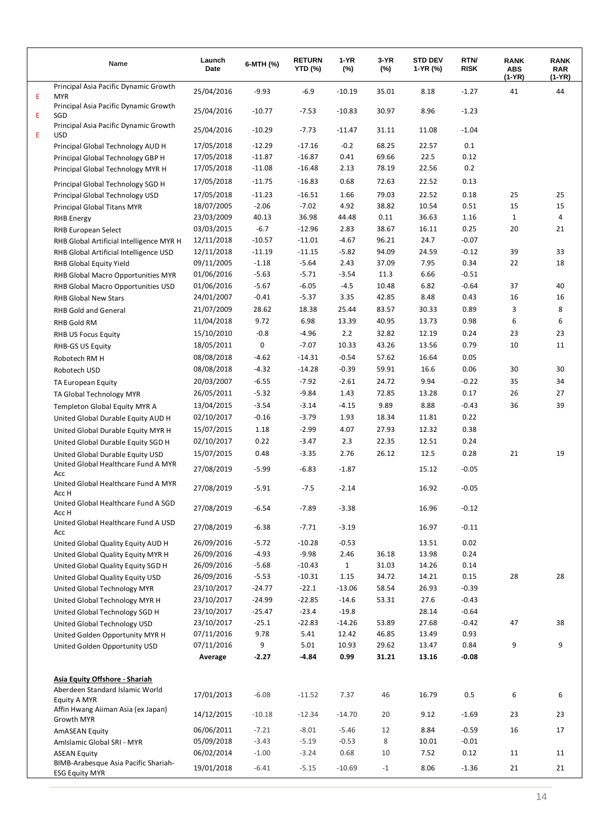|    | Name                                                          | Launch<br>Date | 6-MTH (%) | <b>RETURN</b><br><b>YTD (%)</b> | 1-YR<br>$(\%)$ | 3-YR<br>$(\%)$ | <b>STD DEV</b><br>1-YR (%) | RTN/<br><b>RISK</b> | <b>RANK</b><br><b>ABS</b><br>(1-YR) | <b>RANK</b><br>RAR<br>(1-YR) |
|----|---------------------------------------------------------------|----------------|-----------|---------------------------------|----------------|----------------|----------------------------|---------------------|-------------------------------------|------------------------------|
| E. | Principal Asia Pacific Dynamic Growth<br><b>MYR</b>           | 25/04/2016     | $-9.93$   | $-6.9$                          | $-10.19$       | 35.01          | 8.18                       | $-1.27$             | 41                                  | 44                           |
| E. | Principal Asia Pacific Dynamic Growth<br>SGD                  | 25/04/2016     | $-10.77$  | $-7.53$                         | $-10.83$       | 30.97          | 8.96                       | $-1.23$             |                                     |                              |
| E. | Principal Asia Pacific Dynamic Growth<br><b>USD</b>           | 25/04/2016     | $-10.29$  | $-7.73$                         | $-11.47$       | 31.11          | 11.08                      | $-1.04$             |                                     |                              |
|    | Principal Global Technology AUD H                             | 17/05/2018     | $-12.29$  | $-17.16$                        | $-0.2$         | 68.25          | 22.57                      | 0.1                 |                                     |                              |
|    | Principal Global Technology GBP H                             | 17/05/2018     | $-11.87$  | $-16.87$                        | 0.41           | 69.66          | 22.5                       | 0.12                |                                     |                              |
|    | Principal Global Technology MYR H                             | 17/05/2018     | $-11.08$  | $-16.48$                        | 2.13           | 78.19          | 22.56                      | 0.2                 |                                     |                              |
|    | Principal Global Technology SGD H                             | 17/05/2018     | $-11.75$  | $-16.83$                        | 0.68           | 72.63          | 22.52                      | 0.13                |                                     |                              |
|    | Principal Global Technology USD                               | 17/05/2018     | $-11.23$  | $-16.51$                        | 1.66           | 79.03          | 22.52                      | 0.18                | 25                                  | 25                           |
|    | Principal Global Titans MYR                                   | 18/07/2005     | $-2.06$   | $-7.02$                         | 4.92           | 38.82          | 10.54                      | 0.51                | 15                                  | 15                           |
|    | <b>RHB</b> Energy                                             | 23/03/2009     | 40.13     | 36.98                           | 44.48          | 0.11           | 36.63                      | 1.16                | $\mathbf{1}$                        | 4                            |
|    | <b>RHB European Select</b>                                    | 03/03/2015     | $-6.7$    | $-12.96$                        | 2.83           | 38.67          | 16.11                      | 0.25                | 20                                  | 21                           |
|    | RHB Global Artificial Intelligence MYR H                      | 12/11/2018     | $-10.57$  | $-11.01$                        | $-4.67$        | 96.21          | 24.7                       | $-0.07$             |                                     |                              |
|    | RHB Global Artificial Intelligence USD                        | 12/11/2018     | $-11.19$  | $-11.15$                        | $-5.82$        | 94.09          | 24.59                      | $-0.12$             | 39                                  | 33                           |
|    | RHB Global Equity Yield                                       | 09/11/2005     | $-1.18$   | $-5.64$                         | 2.43           | 37.09          | 7.95                       | 0.34                | 22                                  | 18                           |
|    | RHB Global Macro Opportunities MYR                            | 01/06/2016     | $-5.63$   | $-5.71$                         | $-3.54$        | 11.3           | 6.66                       | $-0.51$             |                                     |                              |
|    | RHB Global Macro Opportunities USD                            | 01/06/2016     | $-5.67$   | $-6.05$                         | $-4.5$         | 10.48          | 6.82                       | $-0.64$             | 37                                  | 40                           |
|    | <b>RHB Global New Stars</b>                                   | 24/01/2007     | $-0.41$   | $-5.37$                         | 3.35           | 42.85          | 8.48                       | 0.43                | 16                                  | 16                           |
|    | <b>RHB Gold and General</b>                                   | 21/07/2009     | 28.62     | 18.38                           | 25.44          | 83.57          | 30.33                      | 0.89                | 3                                   | 8                            |
|    | <b>RHB Gold RM</b>                                            | 11/04/2018     | 9.72      | 6.98                            | 13.39          | 40.95          | 13.73                      | 0.98                | 6                                   | 6                            |
|    | <b>RHB US Focus Equity</b>                                    | 15/10/2010     | $-0.8$    | $-4.96$                         | 2.2            | 32.82          | 12.19                      | 0.24                | 23                                  | 23                           |
|    | <b>RHB-GS US Equity</b>                                       | 18/05/2011     | 0         | $-7.07$                         | 10.33          | 43.26          | 13.56                      | 0.79                | 10                                  | 11                           |
|    | Robotech RM H                                                 | 08/08/2018     | $-4.62$   | $-14.31$                        | $-0.54$        | 57.62          | 16.64                      | 0.05                |                                     |                              |
|    | Robotech USD                                                  | 08/08/2018     | $-4.32$   | $-14.28$                        | $-0.39$        | 59.91          | 16.6                       | 0.06                | 30                                  | 30                           |
|    | TA European Equity                                            | 20/03/2007     | $-6.55$   | $-7.92$                         | $-2.61$        | 24.72          | 9.94                       | $-0.22$             | 35                                  | 34                           |
|    | TA Global Technology MYR                                      | 26/05/2011     | $-5.32$   | $-9.84$                         | 1.43           | 72.85          | 13.28                      | 0.17                | 26                                  | 27                           |
|    | Templeton Global Equity MYR A                                 | 13/04/2015     | $-3.54$   | $-3.14$                         | $-4.15$        | 9.89           | 8.88                       | $-0.43$             | 36                                  | 39                           |
|    | United Global Durable Equity AUD H                            | 02/10/2017     | $-0.16$   | $-3.79$                         | 1.93           | 18.34          | 11.81                      | 0.22                |                                     |                              |
|    | United Global Durable Equity MYR H                            | 15/07/2015     | 1.18      | $-2.99$                         | 4.07           | 27.93          | 12.32                      | 0.38                |                                     |                              |
|    | United Global Durable Equity SGD H                            | 02/10/2017     | 0.22      | $-3.47$                         | 2.3            | 22.35          | 12.51                      | 0.24                |                                     |                              |
|    | United Global Durable Equity USD                              | 15/07/2015     | 0.48      | $-3.35$                         | 2.76           | 26.12          | 12.5                       | 0.28                | 21                                  | 19                           |
|    | United Global Healthcare Fund A MYR<br>Acc                    | 27/08/2019     | $-5.99$   | $-6.83$                         | $-1.87$        |                | 15.12                      | $-0.05$             |                                     |                              |
|    | United Global Healthcare Fund A MYR<br>Acc H                  | 27/08/2019     | $-5.91$   | $-7.5$                          | $-2.14$        |                | 16.92                      | $-0.05$             |                                     |                              |
|    | United Global Healthcare Fund A SGD<br>Acc H                  | 27/08/2019     | $-6.54$   | $-7.89$                         | $-3.38$        |                | 16.96                      | $-0.12$             |                                     |                              |
|    | United Global Healthcare Fund A USD<br>Acc                    | 27/08/2019     | $-6.38$   | $-7.71$                         | $-3.19$        |                | 16.97                      | $-0.11$             |                                     |                              |
|    | United Global Quality Equity AUD H                            | 26/09/2016     | $-5.72$   | $-10.28$                        | $-0.53$        |                | 13.51                      | 0.02                |                                     |                              |
|    | United Global Quality Equity MYR H                            | 26/09/2016     | $-4.93$   | $-9.98$                         | 2.46           | 36.18          | 13.98                      | 0.24                |                                     |                              |
|    | United Global Quality Equity SGD H                            | 26/09/2016     | $-5.68$   | $-10.43$                        | $\mathbf{1}$   | 31.03          | 14.26                      | 0.14                |                                     |                              |
|    | United Global Quality Equity USD                              | 26/09/2016     | $-5.53$   | $-10.31$                        | 1.15           | 34.72          | 14.21                      | 0.15                | 28                                  | 28                           |
|    | United Global Technology MYR                                  | 23/10/2017     | $-24.77$  | $-22.1$                         | $-13.06$       | 58.54          | 26.93                      | $-0.39$             |                                     |                              |
|    | United Global Technology MYR H                                | 23/10/2017     | $-24.99$  | $-22.85$                        | $-14.6$        | 53.31          | 27.6                       | $-0.43$             |                                     |                              |
|    | United Global Technology SGD H                                | 23/10/2017     | $-25.47$  | $-23.4$                         | $-19.8$        |                | 28.14                      | $-0.64$             |                                     |                              |
|    | United Global Technology USD                                  | 23/10/2017     | $-25.1$   | $-22.83$                        | $-14.26$       | 53.89          | 27.68                      | $-0.42$             | 47                                  | 38                           |
|    | United Golden Opportunity MYR H                               | 07/11/2016     | 9.78      | 5.41                            | 12.42          | 46.85          | 13.49                      | 0.93                |                                     |                              |
|    | United Golden Opportunity USD                                 | 07/11/2016     | 9         | 5.01                            | 10.93          | 29.62          | 13.47                      | 0.84                | 9                                   | 9                            |
|    |                                                               | Average        | $-2.27$   | $-4.84$                         | 0.99           | 31.21          | 13.16                      | $-0.08$             |                                     |                              |
|    |                                                               |                |           |                                 |                |                |                            |                     |                                     |                              |
|    | Asia Equity Offshore - Shariah                                |                |           |                                 |                |                |                            |                     |                                     |                              |
|    | Aberdeen Standard Islamic World<br>Equity A MYR               | 17/01/2013     | $-6.08$   | $-11.52$                        | 7.37           | 46             | 16.79                      | 0.5                 | 6                                   | 6                            |
|    | Affin Hwang Aiiman Asia (ex Japan)<br>Growth MYR              | 14/12/2015     | $-10.18$  | $-12.34$                        | $-14.70$       | 20             | 9.12                       | $-1.69$             | 23                                  | 23                           |
|    | <b>AmASEAN Equity</b>                                         | 06/06/2011     | $-7.21$   | $-8.01$                         | $-5.46$        | 12             | 8.84                       | $-0.59$             | 16                                  | 17                           |
|    | Amislamic Global SRI - MYR                                    | 05/09/2018     | $-3.43$   | $-5.19$                         | $-0.53$        | 8              | 10.01                      | $-0.01$             |                                     |                              |
|    | <b>ASEAN Equity</b>                                           | 06/02/2014     | $-1.00$   | $-3.24$                         | 0.68           | 10             | 7.52                       | 0.12                | 11                                  | 11                           |
|    | BIMB-Arabesque Asia Pacific Shariah-<br><b>ESG Equity MYR</b> | 19/01/2018     | $-6.41$   | $-5.15$                         | $-10.69$       | $-1$           | 8.06                       | $-1.36$             | 21                                  | 21                           |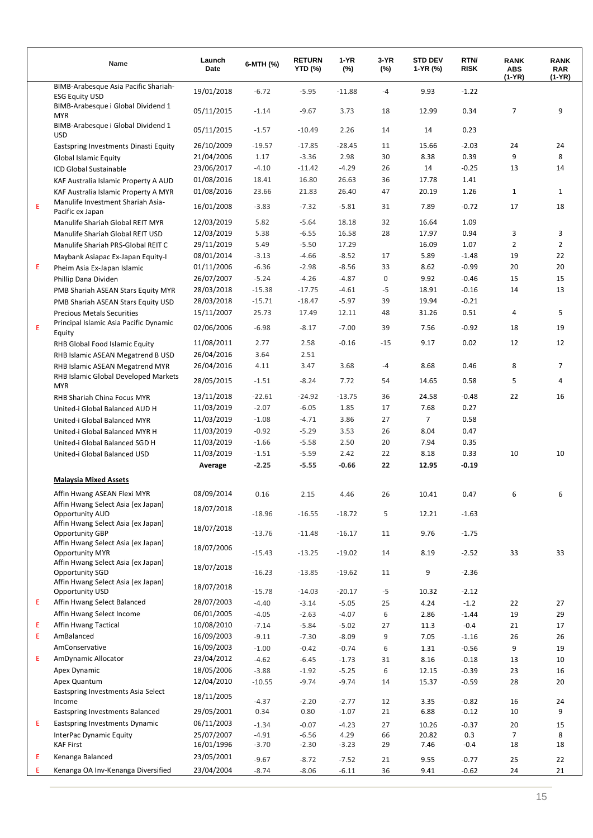|   | Name                                                                                  | Launch<br>Date           | 6-MTH (%)       | <b>RETURN</b><br>YTD (%) | 1-YR<br>$(\%)$ | 3-YR<br>$(\%)$ | <b>STD DEV</b><br>1-YR (%) | RTN/<br><b>RISK</b> | <b>RANK</b><br><b>ABS</b><br>$(1-YR)$ | <b>RANK</b><br><b>RAR</b><br>(1-YR) |
|---|---------------------------------------------------------------------------------------|--------------------------|-----------------|--------------------------|----------------|----------------|----------------------------|---------------------|---------------------------------------|-------------------------------------|
|   | BIMB-Arabesque Asia Pacific Shariah-<br><b>ESG Equity USD</b>                         | 19/01/2018               | $-6.72$         | $-5.95$                  | $-11.88$       | -4             | 9.93                       | $-1.22$             |                                       |                                     |
|   | BIMB-Arabesque i Global Dividend 1<br><b>MYR</b>                                      | 05/11/2015               | $-1.14$         | $-9.67$                  | 3.73           | 18             | 12.99                      | 0.34                | 7                                     | 9                                   |
|   | BIMB-Arabesque i Global Dividend 1<br><b>USD</b>                                      | 05/11/2015               | $-1.57$         | $-10.49$                 | 2.26           | 14             | 14                         | 0.23                |                                       |                                     |
|   | Eastspring Investments Dinasti Equity                                                 | 26/10/2009               | $-19.57$        | $-17.85$                 | $-28.45$       | 11             | 15.66                      | $-2.03$             | 24                                    | 24                                  |
|   | <b>Global Islamic Equity</b>                                                          | 21/04/2006               | 1.17            | $-3.36$                  | 2.98           | 30             | 8.38                       | 0.39                | 9                                     | 8                                   |
|   | <b>ICD Global Sustainable</b>                                                         | 23/06/2017               | $-4.10$         | $-11.42$                 | $-4.29$        | 26             | 14                         | $-0.25$             | 13                                    | 14                                  |
|   | KAF Australia Islamic Property A AUD                                                  | 01/08/2016               | 18.41           | 16.80                    | 26.63          | 36             | 17.78                      | 1.41                |                                       |                                     |
|   | KAF Australia Islamic Property A MYR                                                  | 01/08/2016               | 23.66           | 21.83                    | 26.40          | 47             | 20.19                      | 1.26                | $\mathbf{1}$                          | $\mathbf{1}$                        |
| E | Manulife Investment Shariah Asia-<br>Pacific ex Japan                                 | 16/01/2008               | $-3.83$         | $-7.32$                  | $-5.81$        | 31             | 7.89                       | $-0.72$             | 17                                    | 18                                  |
|   | Manulife Shariah Global REIT MYR                                                      | 12/03/2019               | 5.82            | $-5.64$                  | 18.18          | 32             | 16.64                      | 1.09                |                                       |                                     |
|   | Manulife Shariah Global REIT USD                                                      | 12/03/2019               | 5.38            | $-6.55$                  | 16.58          | 28             | 17.97                      | 0.94                | 3                                     | 3                                   |
|   | Manulife Shariah PRS-Global REIT C                                                    | 29/11/2019               | 5.49            | $-5.50$                  | 17.29          |                | 16.09                      | 1.07                | $\overline{2}$                        | $\overline{2}$                      |
|   | Maybank Asiapac Ex-Japan Equity-I                                                     | 08/01/2014               | $-3.13$         | $-4.66$                  | $-8.52$        | 17             | 5.89                       | $-1.48$             | 19                                    | 22                                  |
| Ε | Pheim Asia Ex-Japan Islamic                                                           | 01/11/2006               | $-6.36$         | $-2.98$                  | $-8.56$        | 33             | 8.62                       | $-0.99$             | 20                                    | 20                                  |
|   | Phillip Dana Dividen                                                                  | 26/07/2007               | $-5.24$         | $-4.26$                  | $-4.87$        | 0              | 9.92                       | $-0.46$             | 15                                    | 15                                  |
|   | PMB Shariah ASEAN Stars Equity MYR                                                    | 28/03/2018               | $-15.38$        | $-17.75$                 | $-4.61$        | $-5$           | 18.91                      | $-0.16$             | 14                                    | 13                                  |
|   | PMB Shariah ASEAN Stars Equity USD                                                    | 28/03/2018               | $-15.71$        | $-18.47$                 | $-5.97$        | 39             | 19.94                      | $-0.21$             |                                       |                                     |
|   | <b>Precious Metals Securities</b>                                                     | 15/11/2007               | 25.73           | 17.49                    | 12.11          | 48             | 31.26                      | 0.51                | 4                                     | 5                                   |
| E | Principal Islamic Asia Pacific Dynamic                                                | 02/06/2006               | $-6.98$         | $-8.17$                  | $-7.00$        | 39             | 7.56                       | $-0.92$             | 18                                    | 19                                  |
|   | Equity                                                                                | 11/08/2011               | 2.77            | 2.58                     | $-0.16$        | $-15$          | 9.17                       | 0.02                | 12                                    | 12                                  |
|   | RHB Global Food Islamic Equity                                                        | 26/04/2016               | 3.64            | 2.51                     |                |                |                            |                     |                                       |                                     |
|   | RHB Islamic ASEAN Megatrend B USD                                                     |                          |                 |                          | 3.68           |                |                            | 0.46                | 8                                     | 7                                   |
|   | RHB Islamic ASEAN Megatrend MYR<br>RHB Islamic Global Developed Markets<br><b>MYR</b> | 26/04/2016<br>28/05/2015 | 4.11<br>$-1.51$ | 3.47<br>$-8.24$          | 7.72           | -4<br>54       | 8.68<br>14.65              | 0.58                | 5                                     | 4                                   |
|   |                                                                                       | 13/11/2018               | $-22.61$        | $-24.92$                 | $-13.75$       | 36             | 24.58                      | $-0.48$             | 22                                    | 16                                  |
|   | RHB Shariah China Focus MYR                                                           | 11/03/2019               | $-2.07$         | $-6.05$                  | 1.85           | 17             | 7.68                       | 0.27                |                                       |                                     |
|   | United-i Global Balanced AUD H                                                        |                          | $-1.08$         |                          | 3.86           |                | $\overline{7}$             |                     |                                       |                                     |
|   | United-i Global Balanced MYR                                                          | 11/03/2019<br>11/03/2019 |                 | $-4.71$                  |                | 27             |                            | 0.58<br>0.47        |                                       |                                     |
|   | United-i Global Balanced MYR H                                                        |                          | $-0.92$         | $-5.29$                  | 3.53           | 26             | 8.04                       |                     |                                       |                                     |
|   | United-i Global Balanced SGD H                                                        | 11/03/2019               | $-1.66$         | $-5.58$                  | 2.50           | 20             | 7.94                       | 0.35                |                                       |                                     |
|   | United-i Global Balanced USD                                                          | 11/03/2019               | $-1.51$         | $-5.59$                  | 2.42           | 22             | 8.18                       | 0.33                | 10                                    | 10                                  |
|   |                                                                                       | Average                  | $-2.25$         | $-5.55$                  | $-0.66$        | 22             | 12.95                      | $-0.19$             |                                       |                                     |
|   | <b>Malaysia Mixed Assets</b>                                                          |                          |                 |                          |                |                |                            |                     |                                       |                                     |
|   | Affin Hwang ASEAN Flexi MYR                                                           | 08/09/2014               | 0.16            | 2.15                     | 4.46           | 26             | 10.41                      | 0.47                | 6                                     | 6                                   |
|   | Affin Hwang Select Asia (ex Japan)<br>Opportunity AUD                                 | 18/07/2018               | $-18.96$        | $-16.55$                 | $-18.72$       | 5              | 12.21                      | $-1.63$             |                                       |                                     |
|   | Affin Hwang Select Asia (ex Japan)<br>Opportunity GBP                                 | 18/07/2018               | $-13.76$        | $-11.48$                 | $-16.17$       | 11             | 9.76                       | $-1.75$             |                                       |                                     |
|   | Affin Hwang Select Asia (ex Japan)<br><b>Opportunity MYR</b>                          | 18/07/2006               | $-15.43$        | $-13.25$                 | $-19.02$       | 14             | 8.19                       | $-2.52$             | 33                                    | 33                                  |
|   | Affin Hwang Select Asia (ex Japan)                                                    |                          |                 |                          |                |                |                            |                     |                                       |                                     |
|   | Opportunity SGD<br>Affin Hwang Select Asia (ex Japan)                                 | 18/07/2018               | $-16.23$        | $-13.85$                 | $-19.62$       | 11             | 9                          | $-2.36$             |                                       |                                     |
|   | Opportunity USD                                                                       | 18/07/2018               | $-15.78$        | $-14.03$                 | $-20.17$       | $-5$           | 10.32                      | $-2.12$             |                                       |                                     |
| Ε | Affin Hwang Select Balanced                                                           | 28/07/2003               | $-4.40$         | $-3.14$                  | $-5.05$        | 25             | 4.24                       | $-1.2$              | 22                                    | 27                                  |
|   | Affin Hwang Select Income                                                             | 06/01/2005               | $-4.05$         | $-2.63$                  | $-4.07$        | 6              | 2.86                       | $-1.44$             | 19                                    | 29                                  |
| Ε | Affin Hwang Tactical                                                                  | 10/08/2010               | $-7.14$         | $-5.84$                  | $-5.02$        | 27             | 11.3                       | $-0.4$              | 21                                    | $17\,$                              |
| E | AmBalanced                                                                            | 16/09/2003               | $-9.11$         | $-7.30$                  | $-8.09$        | 9              | 7.05                       | $-1.16$             | 26                                    | 26                                  |
|   | AmConservative                                                                        | 16/09/2003               | $-1.00$         | $-0.42$                  | $-0.74$        | 6              | 1.31                       | $-0.56$             | 9                                     | 19                                  |
| E | AmDynamic Allocator                                                                   | 23/04/2012               | $-4.62$         | $-6.45$                  | $-1.73$        | 31             | 8.16                       | $-0.18$             | 13                                    | 10                                  |
|   | Apex Dynamic                                                                          | 18/05/2006               | $-3.88$         | $-1.92$                  | $-5.25$        | 6              | 12.15                      | $-0.39$             | 23                                    | 16                                  |
|   | Apex Quantum                                                                          | 12/04/2010               | $-10.55$        | $-9.74$                  | $-9.74$        | 14             | 15.37                      | $-0.59$             | 28                                    | 20                                  |
|   | Eastspring Investments Asia Select                                                    |                          |                 |                          |                |                |                            |                     |                                       |                                     |
|   | Income                                                                                | 18/11/2005               | $-4.37$         | $-2.20$                  | $-2.77$        | 12             | 3.35                       | $-0.82$             | 16                                    | 24                                  |
|   | Eastspring Investments Balanced                                                       | 29/05/2001               | 0.34            | 0.80                     | $-1.07$        | 21             | 6.88                       | $-0.12$             | 10                                    | 9                                   |
| Ε | Eastspring Investments Dynamic                                                        | 06/11/2003               | $-1.34$         | $-0.07$                  | $-4.23$        | 27             | 10.26                      | $-0.37$             | 20                                    | 15                                  |
|   | InterPac Dynamic Equity                                                               | 25/07/2007               | $-4.91$         | $-6.56$                  | 4.29           | 66             | 20.82                      | 0.3                 | 7                                     | 8                                   |
|   | <b>KAF First</b>                                                                      | 16/01/1996               | $-3.70$         | $-2.30$                  | $-3.23$        | 29             | 7.46                       | $-0.4$              | 18                                    | 18                                  |
| Ε | Kenanga Balanced                                                                      | 23/05/2001               | $-9.67$         | $-8.72$                  | $-7.52$        | 21             | 9.55                       | $-0.77$             | 25                                    | 22                                  |
| Е | Kenanga OA Inv-Kenanga Diversified                                                    | 23/04/2004               | $-8.74$         | $-8.06$                  | $-6.11$        | 36             | 9.41                       | $-0.62$             | 24                                    | 21                                  |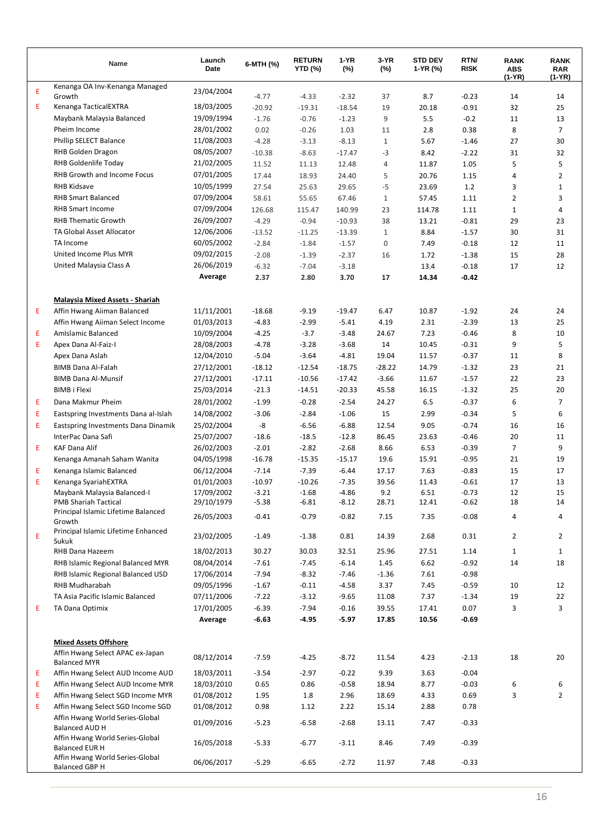|        | Name                                                                 | Launch<br>Date           | 6-MTH (%)           | <b>RETURN</b><br><b>YTD (%)</b> | $1-YR$<br>(%)       | 3-YR<br>$(\%)$ | <b>STD DEV</b><br>1-YR (%) | RTN/<br><b>RISK</b> | <b>RANK</b><br><b>ABS</b><br>$(1-YR)$ | <b>RANK</b><br><b>RAR</b><br>$(1-YR)$ |
|--------|----------------------------------------------------------------------|--------------------------|---------------------|---------------------------------|---------------------|----------------|----------------------------|---------------------|---------------------------------------|---------------------------------------|
| Ε      | Kenanga OA Inv-Kenanga Managed                                       | 23/04/2004               |                     |                                 |                     |                |                            |                     |                                       |                                       |
| Ε      | Growth<br>Kenanga TacticalEXTRA                                      | 18/03/2005               | $-4.77$             | $-4.33$                         | $-2.32$             | 37             | 8.7                        | $-0.23$             | 14                                    | 14                                    |
|        | Maybank Malaysia Balanced                                            | 19/09/1994               | $-20.92$<br>$-1.76$ | $-19.31$<br>$-0.76$             | $-18.54$<br>$-1.23$ | 19<br>9        | 20.18<br>5.5               | $-0.91$<br>$-0.2$   | 32<br>11                              | 25<br>13                              |
|        | Pheim Income                                                         | 28/01/2002               | 0.02                | $-0.26$                         | 1.03                | 11             | 2.8                        | 0.38                | 8                                     | $\overline{7}$                        |
|        | Phillip SELECT Balance                                               | 11/08/2003               | $-4.28$             | $-3.13$                         | $-8.13$             | $\mathbf{1}$   | 5.67                       | $-1.46$             | 27                                    | 30                                    |
|        | RHB Golden Dragon                                                    | 08/05/2007               | $-10.38$            | $-8.63$                         | $-17.47$            | $-3$           | 8.42                       | $-2.22$             | 31                                    | 32                                    |
|        | RHB Goldenlife Today                                                 | 21/02/2005               | 11.52               | 11.13                           | 12.48               | 4              | 11.87                      | 1.05                | 5                                     | 5                                     |
|        | RHB Growth and Income Focus                                          | 07/01/2005               | 17.44               | 18.93                           | 24.40               | 5              | 20.76                      | 1.15                | 4                                     | $\overline{2}$                        |
|        | <b>RHB Kidsave</b>                                                   | 10/05/1999               | 27.54               | 25.63                           | 29.65               | $-5$           | 23.69                      | 1.2                 | 3                                     | 1                                     |
|        | <b>RHB Smart Balanced</b>                                            | 07/09/2004               | 58.61               | 55.65                           | 67.46               | $1\,$          | 57.45                      | 1.11                | 2                                     | 3                                     |
|        | <b>RHB Smart Income</b>                                              | 07/09/2004               | 126.68              | 115.47                          | 140.99              | 23             | 114.78                     | 1.11                | 1                                     | 4                                     |
|        | <b>RHB Thematic Growth</b>                                           | 26/09/2007               | $-4.29$             | $-0.94$                         | $-10.93$            | 38             | 13.21                      | $-0.81$             | 29                                    | 23                                    |
|        | TA Global Asset Allocator                                            | 12/06/2006               | $-13.52$            | $-11.25$                        | $-13.39$            | $\mathbf{1}$   | 8.84                       | $-1.57$             | 30                                    | 31                                    |
|        | TA Income                                                            | 60/05/2002               | $-2.84$             | $-1.84$                         | $-1.57$             | 0              | 7.49                       | $-0.18$             | 12                                    | 11                                    |
|        | United Income Plus MYR                                               | 09/02/2015               | $-2.08$             | $-1.39$                         | $-2.37$             | 16             | 1.72                       | $-1.38$             | 15                                    | 28                                    |
|        | United Malaysia Class A                                              | 26/06/2019               | $-6.32$             | $-7.04$                         | $-3.18$             |                | 13.4                       | $-0.18$             | 17                                    | 12                                    |
|        |                                                                      | Average                  | 2.37                | 2.80                            | 3.70                | 17             | 14.34                      | $-0.42$             |                                       |                                       |
|        | <b>Malaysia Mixed Assets - Shariah</b>                               |                          |                     |                                 |                     |                |                            |                     |                                       |                                       |
| Ε      | Affin Hwang Aiiman Balanced                                          | 11/11/2001               | $-18.68$            | $-9.19$                         | $-19.47$            | 6.47           | 10.87                      | $-1.92$             | 24                                    | 24                                    |
|        | Affin Hwang Aiiman Select Income                                     | 01/03/2013               | $-4.83$             | $-2.99$                         | $-5.41$             | 4.19           | 2.31                       | $-2.39$             | 13                                    | 25                                    |
| Ε      | <b>AmIslamic Balanced</b>                                            | 10/09/2004               | $-4.25$             | $-3.7$                          | $-3.48$             | 24.67          | 7.23                       | $-0.46$             | 8                                     | 10                                    |
| Ε      | Apex Dana Al-Faiz-I                                                  | 28/08/2003               | $-4.78$             | $-3.28$                         | $-3.68$             | 14             | 10.45                      | $-0.31$             | 9                                     | 5                                     |
|        | Apex Dana Aslah                                                      | 12/04/2010               | $-5.04$             | $-3.64$                         | $-4.81$             | 19.04          | 11.57                      | $-0.37$             | 11                                    | 8                                     |
|        | <b>BIMB Dana Al-Falah</b>                                            | 27/12/2001               | $-18.12$            | $-12.54$                        | $-18.75$            | $-28.22$       | 14.79                      | $-1.32$             | 23                                    | 21                                    |
|        | <b>BIMB Dana Al-Munsif</b>                                           | 27/12/2001               | $-17.11$            | $-10.56$                        | $-17.42$            | $-3.66$        | 11.67                      | $-1.57$             | 22                                    | 23                                    |
|        | <b>BIMB i Flexi</b>                                                  | 25/03/2014               | $-21.3$             | $-14.51$                        | $-20.33$            | 45.58          | 16.15                      | $-1.32$             | 25                                    | 20                                    |
| Ε      | Dana Makmur Pheim                                                    | 28/01/2002               | $-1.99$             | $-0.28$                         | $-2.54$             | 24.27          | 6.5                        | $-0.37$             | 6                                     | $\overline{7}$                        |
| Ε      | Eastspring Investments Dana al-Islah                                 | 14/08/2002               | $-3.06$             | $-2.84$                         | $-1.06$             | 15             | 2.99                       | $-0.34$             | 5                                     | 6                                     |
| Ε      | Eastspring Investments Dana Dinamik                                  | 25/02/2004               | -8                  | $-6.56$                         | $-6.88$             | 12.54          | 9.05                       | $-0.74$             | 16                                    | 16                                    |
| E      | InterPac Dana Safi<br><b>KAF Dana Alif</b>                           | 25/07/2007               | $-18.6$<br>$-2.01$  | $-18.5$<br>$-2.82$              | $-12.8$<br>$-2.68$  | 86.45<br>8.66  | 23.63<br>6.53              | $-0.46$<br>$-0.39$  | 20<br>7                               | 11<br>9                               |
|        | Kenanga Amanah Saham Wanita                                          | 26/02/2003<br>04/05/1998 | $-16.78$            | $-15.35$                        | $-15.17$            | 19.6           | 15.91                      | $-0.95$             | 21                                    | 19                                    |
| Ε      | Kenanga Islamic Balanced                                             | 06/12/2004               | $-7.14$             | $-7.39$                         | $-6.44$             | 17.17          | 7.63                       | $-0.83$             | 15                                    | 17                                    |
| Ε      | Kenanga SyariahEXTRA                                                 | 01/01/2003               | $-10.97$            | $-10.26$                        | $-7.35$             | 39.56          | 11.43                      | $-0.61$             | 17                                    | 13                                    |
|        | Maybank Malaysia Balanced-I                                          | 17/09/2002               | $-3.21$             | $-1.68$                         | $-4.86$             | 9.2            | 6.51                       | $-0.73$             | 12                                    | 15                                    |
|        | <b>PMB Shariah Tactical</b>                                          | 29/10/1979               | $-5.38$             | $-6.81$                         | $-8.12$             | 28.71          | 12.41                      | $-0.62$             | 18                                    | 14                                    |
|        | Principal Islamic Lifetime Balanced<br>Growth                        | 26/05/2003               | $-0.41$             | $-0.79$                         | $-0.82$             | 7.15           | 7.35                       | $-0.08$             | 4                                     | 4                                     |
| E      | Principal Islamic Lifetime Enhanced<br>Sukuk                         | 23/02/2005               | $-1.49$             | $-1.38$                         | 0.81                | 14.39          | 2.68                       | 0.31                | $\overline{2}$                        | $\overline{2}$                        |
|        | RHB Dana Hazeem                                                      | 18/02/2013               | 30.27               | 30.03                           | 32.51               | 25.96          | 27.51                      | 1.14                | $\mathbf{1}$                          | $\mathbf{1}$                          |
|        | RHB Islamic Regional Balanced MYR                                    | 08/04/2014               | $-7.61$             | $-7.45$                         | $-6.14$             | 1.45           | 6.62                       | $-0.92$             | 14                                    | 18                                    |
|        | RHB Islamic Regional Balanced USD                                    | 17/06/2014               | $-7.94$             | $-8.32$                         | $-7.46$             | $-1.36$        | 7.61                       | $-0.98$             |                                       |                                       |
|        | <b>RHB Mudharabah</b>                                                | 09/05/1996               | $-1.67$             | $-0.11$                         | $-4.58$             | 3.37           | 7.45                       | $-0.59$             | 10                                    | 12                                    |
|        | TA Asia Pacific Islamic Balanced                                     | 07/11/2006               | $-7.22$             | $-3.12$                         | $-9.65$             | 11.08          | 7.37                       | $-1.34$             | 19                                    | 22                                    |
| Ε      | TA Dana Optimix                                                      | 17/01/2005               | $-6.39$             | $-7.94$                         | $-0.16$             | 39.55          | 17.41                      | 0.07                | 3                                     | 3                                     |
|        |                                                                      | Average                  | $-6.63$             | $-4.95$                         | $-5.97$             | 17.85          | 10.56                      | $-0.69$             |                                       |                                       |
|        | <b>Mixed Assets Offshore</b>                                         |                          |                     |                                 |                     |                |                            |                     |                                       |                                       |
|        | Affin Hwang Select APAC ex-Japan                                     | 08/12/2014               | $-7.59$             | $-4.25$                         | $-8.72$             | 11.54          | 4.23                       | $-2.13$             | 18                                    | 20                                    |
|        | <b>Balanced MYR</b>                                                  |                          |                     |                                 |                     |                |                            |                     |                                       |                                       |
| Ε      | Affin Hwang Select AUD Income AUD                                    | 18/03/2011               | $-3.54$             | $-2.97$                         | $-0.22$             | 9.39           | 3.63                       | $-0.04$             |                                       |                                       |
| Ε      | Affin Hwang Select AUD Income MYR                                    | 18/03/2010               | 0.65                | 0.86                            | $-0.58$             | 18.94          | 8.77                       | $-0.03$             | 6                                     | 6                                     |
| Ε<br>E | Affin Hwang Select SGD Income MYR                                    | 01/08/2012               | 1.95                | 1.8                             | 2.96                | 18.69          | 4.33                       | 0.69                | 3                                     | $\overline{2}$                        |
|        | Affin Hwang Select SGD Income SGD<br>Affin Hwang World Series-Global | 01/08/2012               | 0.98                | 1.12                            | 2.22                | 15.14          | 2.88                       | 0.78                |                                       |                                       |
|        | Balanced AUD H                                                       | 01/09/2016               | $-5.23$             | $-6.58$                         | $-2.68$             | 13.11          | 7.47                       | $-0.33$             |                                       |                                       |
|        | Affin Hwang World Series-Global<br>Balanced EUR H                    | 16/05/2018               | $-5.33$             | $-6.77$                         | $-3.11$             | 8.46           | 7.49                       | $-0.39$             |                                       |                                       |
|        | Affin Hwang World Series-Global<br>Balanced GBP H                    | 06/06/2017               | $-5.29$             | $-6.65$                         | $-2.72$             | 11.97          | 7.48                       | $-0.33$             |                                       |                                       |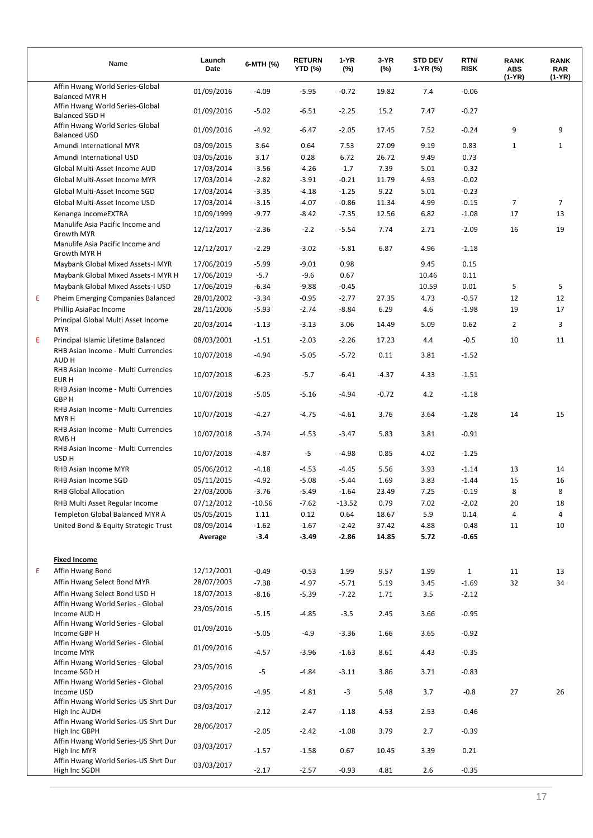|   | Name                                                     | Launch<br>Date | 6-MTH (%) | <b>RETURN</b><br><b>YTD (%)</b> | 1-YR<br>$(\%)$ | 3-YR<br>$(\%)$ | <b>STD DEV</b><br>1-YR (%) | RTN/<br><b>RISK</b> | <b>RANK</b><br><b>ABS</b><br>$(1-YR)$ | <b>RANK</b><br><b>RAR</b><br>(1-YR) |
|---|----------------------------------------------------------|----------------|-----------|---------------------------------|----------------|----------------|----------------------------|---------------------|---------------------------------------|-------------------------------------|
|   | Affin Hwang World Series-Global<br><b>Balanced MYR H</b> | 01/09/2016     | $-4.09$   | $-5.95$                         | $-0.72$        | 19.82          | 7.4                        | $-0.06$             |                                       |                                     |
|   | Affin Hwang World Series-Global<br><b>Balanced SGD H</b> | 01/09/2016     | $-5.02$   | $-6.51$                         | $-2.25$        | 15.2           | 7.47                       | $-0.27$             |                                       |                                     |
|   | Affin Hwang World Series-Global<br><b>Balanced USD</b>   | 01/09/2016     | $-4.92$   | $-6.47$                         | $-2.05$        | 17.45          | 7.52                       | $-0.24$             | 9                                     | 9                                   |
|   | Amundi International MYR                                 | 03/09/2015     | 3.64      | 0.64                            | 7.53           | 27.09          | 9.19                       | 0.83                | $\mathbf{1}$                          | 1                                   |
|   | Amundi International USD                                 | 03/05/2016     | 3.17      | 0.28                            | 6.72           | 26.72          | 9.49                       | 0.73                |                                       |                                     |
|   | Global Multi-Asset Income AUD                            | 17/03/2014     | $-3.56$   | $-4.26$                         | $-1.7$         | 7.39           | 5.01                       | $-0.32$             |                                       |                                     |
|   | Global Multi-Asset Income MYR                            | 17/03/2014     | $-2.82$   | $-3.91$                         | $-0.21$        | 11.79          | 4.93                       | $-0.02$             |                                       |                                     |
|   | Global Multi-Asset Income SGD                            | 17/03/2014     | $-3.35$   | $-4.18$                         | $-1.25$        | 9.22           | 5.01                       | $-0.23$             |                                       |                                     |
|   | Global Multi-Asset Income USD                            | 17/03/2014     | $-3.15$   | $-4.07$                         | $-0.86$        | 11.34          | 4.99                       | $-0.15$             | $\overline{7}$                        | 7                                   |
|   | Kenanga IncomeEXTRA                                      | 10/09/1999     | $-9.77$   | $-8.42$                         | $-7.35$        | 12.56          | 6.82                       | $-1.08$             | 17                                    | 13                                  |
|   | Manulife Asia Pacific Income and<br>Growth MYR           | 12/12/2017     | $-2.36$   | $-2.2$                          | $-5.54$        | 7.74           | 2.71                       | $-2.09$             | 16                                    | 19                                  |
|   | Manulife Asia Pacific Income and<br>Growth MYR H         | 12/12/2017     | $-2.29$   | $-3.02$                         | $-5.81$        | 6.87           | 4.96                       | $-1.18$             |                                       |                                     |
|   | Maybank Global Mixed Assets-I MYR                        | 17/06/2019     | $-5.99$   | $-9.01$                         | 0.98           |                | 9.45                       | 0.15                |                                       |                                     |
|   | Maybank Global Mixed Assets-I MYR H                      | 17/06/2019     | $-5.7$    | $-9.6$                          | 0.67           |                | 10.46                      | 0.11                |                                       |                                     |
|   | Maybank Global Mixed Assets-I USD                        | 17/06/2019     | $-6.34$   | $-9.88$                         | $-0.45$        |                | 10.59                      | 0.01                | 5                                     | 5                                   |
| E | Pheim Emerging Companies Balanced                        | 28/01/2002     | $-3.34$   | $-0.95$                         | $-2.77$        | 27.35          | 4.73                       | $-0.57$             | 12                                    | 12                                  |
|   | Phillip AsiaPac Income                                   | 28/11/2006     | $-5.93$   | $-2.74$                         | $-8.84$        | 6.29           | 4.6                        | $-1.98$             | 19                                    | 17                                  |
|   | Principal Global Multi Asset Income<br><b>MYR</b>        | 20/03/2014     | $-1.13$   | $-3.13$                         | 3.06           | 14.49          | 5.09                       | 0.62                | $\overline{2}$                        | 3                                   |
| E | Principal Islamic Lifetime Balanced                      | 08/03/2001     | $-1.51$   | $-2.03$                         | $-2.26$        | 17.23          | 4.4                        | $-0.5$              | 10                                    | 11                                  |
|   | RHB Asian Income - Multi Currencies<br>AUD H             | 10/07/2018     | $-4.94$   | $-5.05$                         | $-5.72$        | 0.11           | 3.81                       | $-1.52$             |                                       |                                     |
|   | RHB Asian Income - Multi Currencies<br>EUR H             | 10/07/2018     | $-6.23$   | $-5.7$                          | $-6.41$        | $-4.37$        | 4.33                       | $-1.51$             |                                       |                                     |
|   | RHB Asian Income - Multi Currencies<br>GBP H             | 10/07/2018     | $-5.05$   | $-5.16$                         | $-4.94$        | $-0.72$        | 4.2                        | $-1.18$             |                                       |                                     |
|   | RHB Asian Income - Multi Currencies<br><b>MYRH</b>       | 10/07/2018     | $-4.27$   | $-4.75$                         | $-4.61$        | 3.76           | 3.64                       | $-1.28$             | 14                                    | 15                                  |
|   | RHB Asian Income - Multi Currencies<br>RMB H             | 10/07/2018     | $-3.74$   | $-4.53$                         | $-3.47$        | 5.83           | 3.81                       | $-0.91$             |                                       |                                     |
|   | RHB Asian Income - Multi Currencies<br>USD H             | 10/07/2018     | $-4.87$   | $-5$                            | $-4.98$        | 0.85           | 4.02                       | $-1.25$             |                                       |                                     |
|   | RHB Asian Income MYR                                     | 05/06/2012     | $-4.18$   | $-4.53$                         | $-4.45$        | 5.56           | 3.93                       | $-1.14$             | 13                                    | 14                                  |
|   | RHB Asian Income SGD                                     | 05/11/2015     | $-4.92$   | $-5.08$                         | $-5.44$        | 1.69           | 3.83                       | $-1.44$             | 15                                    | 16                                  |
|   | <b>RHB Global Allocation</b>                             | 27/03/2006     | $-3.76$   | $-5.49$                         | $-1.64$        | 23.49          | 7.25                       | $-0.19$             | 8                                     | 8                                   |
|   | RHB Multi Asset Regular Income                           | 07/12/2012     | $-10.56$  | $-7.62$                         | $-13.52$       | 0.79           | 7.02                       | $-2.02$             | 20                                    | 18                                  |
|   | Templeton Global Balanced MYR A                          | 05/05/2015     | 1.11      | 0.12                            | 0.64           | 18.67          | 5.9                        | 0.14                | 4                                     | 4                                   |
|   | United Bond & Equity Strategic Trust                     | 08/09/2014     | $-1.62$   | $-1.67$                         | $-2.42$        | 37.42          | 4.88                       | $-0.48$             | 11                                    | 10                                  |
|   |                                                          | Average        | $-3.4$    | $-3.49$                         | $-2.86$        | 14.85          | 5.72                       | $-0.65$             |                                       |                                     |
|   | <b>Fixed Income</b>                                      |                |           |                                 |                |                |                            |                     |                                       |                                     |
| Е | Affin Hwang Bond                                         | 12/12/2001     | $-0.49$   | $-0.53$                         | 1.99           | 9.57           | 1.99                       | $\mathbf{1}$        | 11                                    | 13                                  |
|   | Affin Hwang Select Bond MYR                              | 28/07/2003     | $-7.38$   | $-4.97$                         | $-5.71$        | 5.19           | 3.45                       | $-1.69$             | 32                                    | 34                                  |
|   | Affin Hwang Select Bond USD H                            | 18/07/2013     | $-8.16$   | $-5.39$                         | $-7.22$        | 1.71           | 3.5                        | $-2.12$             |                                       |                                     |
|   | Affin Hwang World Series - Global<br>Income AUD H        | 23/05/2016     | $-5.15$   | -4.85                           | $-3.5$         | 2.45           | 3.66                       | $-0.95$             |                                       |                                     |
|   | Affin Hwang World Series - Global<br>Income GBP H        | 01/09/2016     | $-5.05$   | $-4.9$                          | -3.36          | 1.66           | 3.65                       | $-0.92$             |                                       |                                     |
|   | Affin Hwang World Series - Global<br>Income MYR          | 01/09/2016     | -4.57     | $-3.96$                         | $-1.63$        | 8.61           | 4.43                       | $-0.35$             |                                       |                                     |
|   | Affin Hwang World Series - Global<br>Income SGD H        | 23/05/2016     | $-5$      | $-4.84$                         | -3.11          | 3.86           | 3.71                       | $-0.83$             |                                       |                                     |
|   | Affin Hwang World Series - Global<br>Income USD          | 23/05/2016     | $-4.95$   | $-4.81$                         | $-3$           | 5.48           | 3.7                        | $-0.8$              | 27                                    | 26                                  |
|   | Affin Hwang World Series-US Shrt Dur<br>High Inc AUDH    | 03/03/2017     | $-2.12$   | $-2.47$                         | $-1.18$        | 4.53           | 2.53                       | $-0.46$             |                                       |                                     |
|   | Affin Hwang World Series-US Shrt Dur<br>High Inc GBPH    | 28/06/2017     | $-2.05$   | $-2.42$                         | $-1.08$        | 3.79           | 2.7                        | $-0.39$             |                                       |                                     |
|   | Affin Hwang World Series-US Shrt Dur<br>High Inc MYR     | 03/03/2017     | $-1.57$   | $-1.58$                         | 0.67           | 10.45          | 3.39                       | 0.21                |                                       |                                     |
|   | Affin Hwang World Series-US Shrt Dur<br>High Inc SGDH    | 03/03/2017     | $-2.17$   | $-2.57$                         | $-0.93$        | 4.81           | 2.6                        | $-0.35$             |                                       |                                     |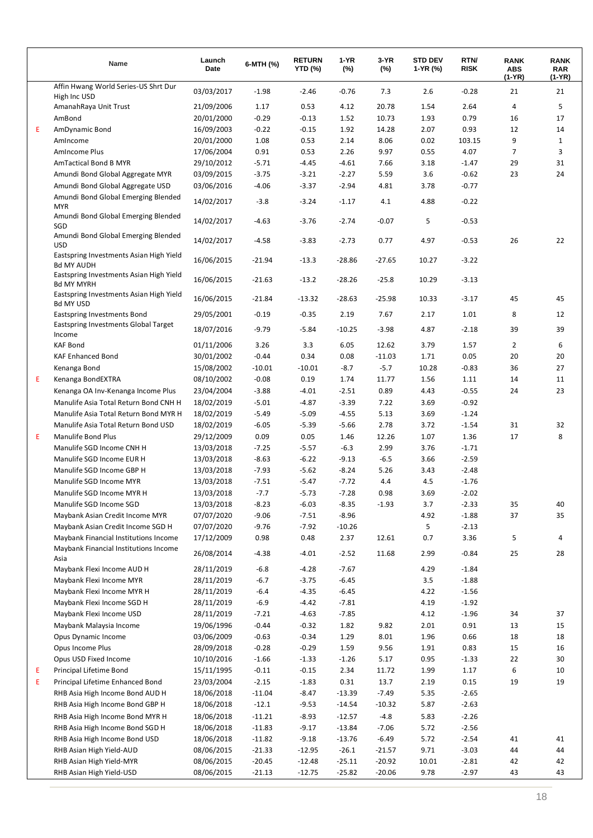|   | Name                                                         | Launch<br>Date           | 6-MTH (%)        | <b>RETURN</b><br><b>YTD (%)</b> | $1-YR$<br>$(\%)$   | 3-YR<br>$(\%)$ | <b>STD DEV</b><br>1-YR (%) | RTN/<br><b>RISK</b> | <b>RANK</b><br><b>ABS</b><br>(1-YR) | <b>RANK</b><br><b>RAR</b><br>(1-YR) |
|---|--------------------------------------------------------------|--------------------------|------------------|---------------------------------|--------------------|----------------|----------------------------|---------------------|-------------------------------------|-------------------------------------|
|   | Affin Hwang World Series-US Shrt Dur                         | 03/03/2017               | $-1.98$          | $-2.46$                         | $-0.76$            | 7.3            | 2.6                        | $-0.28$             | 21                                  | 21                                  |
|   | High Inc USD                                                 |                          |                  |                                 |                    |                |                            |                     |                                     |                                     |
|   | AmanahRaya Unit Trust                                        | 21/09/2006               | 1.17             | 0.53                            | 4.12               | 20.78          | 1.54                       | 2.64                | 4                                   | 5                                   |
|   | AmBond                                                       | 20/01/2000               | $-0.29$          | $-0.13$                         | 1.52               | 10.73          | 1.93                       | 0.79                | 16                                  | 17                                  |
| Ε | AmDynamic Bond                                               | 16/09/2003<br>20/01/2000 | $-0.22$          | $-0.15$<br>0.53                 | 1.92<br>2.14       | 14.28<br>8.06  | 2.07<br>0.02               | 0.93                | 12<br>9                             | 14<br>$\mathbf{1}$                  |
|   | AmIncome<br>AmIncome Plus                                    | 17/06/2004               | 1.08<br>0.91     | 0.53                            | 2.26               | 9.97           | 0.55                       | 103.15<br>4.07      | 7                                   | 3                                   |
|   | <b>AmTactical Bond B MYR</b>                                 | 29/10/2012               | $-5.71$          | $-4.45$                         | $-4.61$            | 7.66           | 3.18                       | $-1.47$             | 29                                  | 31                                  |
|   | Amundi Bond Global Aggregate MYR                             | 03/09/2015               | $-3.75$          | $-3.21$                         | $-2.27$            | 5.59           | 3.6                        | $-0.62$             | 23                                  | 24                                  |
|   | Amundi Bond Global Aggregate USD                             | 03/06/2016               | $-4.06$          | $-3.37$                         | $-2.94$            | 4.81           | 3.78                       | $-0.77$             |                                     |                                     |
|   | Amundi Bond Global Emerging Blended<br><b>MYR</b>            | 14/02/2017               | $-3.8$           | $-3.24$                         | $-1.17$            | 4.1            | 4.88                       | $-0.22$             |                                     |                                     |
|   | Amundi Bond Global Emerging Blended<br>SGD                   | 14/02/2017               | $-4.63$          | $-3.76$                         | $-2.74$            | $-0.07$        | 5                          | $-0.53$             |                                     |                                     |
|   | Amundi Bond Global Emerging Blended<br><b>USD</b>            | 14/02/2017               | $-4.58$          | $-3.83$                         | $-2.73$            | 0.77           | 4.97                       | $-0.53$             | 26                                  | 22                                  |
|   | Eastspring Investments Asian High Yield<br><b>Bd MY AUDH</b> | 16/06/2015               | $-21.94$         | $-13.3$                         | $-28.86$           | $-27.65$       | 10.27                      | $-3.22$             |                                     |                                     |
|   | Eastspring Investments Asian High Yield<br><b>Bd MY MYRH</b> | 16/06/2015               | $-21.63$         | $-13.2$                         | $-28.26$           | $-25.8$        | 10.29                      | $-3.13$             |                                     |                                     |
|   | Eastspring Investments Asian High Yield<br><b>Bd MY USD</b>  | 16/06/2015               | $-21.84$         | $-13.32$                        | $-28.63$           | $-25.98$       | 10.33                      | $-3.17$             | 45                                  | 45                                  |
|   | Eastspring Investments Bond                                  | 29/05/2001               | $-0.19$          | $-0.35$                         | 2.19               | 7.67           | 2.17                       | 1.01                | 8                                   | 12                                  |
|   | Eastspring Investments Global Target<br>Income               | 18/07/2016               | $-9.79$          | $-5.84$                         | $-10.25$           | $-3.98$        | 4.87                       | $-2.18$             | 39                                  | 39                                  |
|   | <b>KAF Bond</b>                                              | 01/11/2006               | 3.26             | 3.3                             | 6.05               | 12.62          | 3.79                       | 1.57                | 2                                   | 6                                   |
|   | <b>KAF Enhanced Bond</b>                                     | 30/01/2002               | $-0.44$          | 0.34                            | 0.08               | $-11.03$       | 1.71                       | 0.05                | 20                                  | 20                                  |
|   | Kenanga Bond                                                 | 15/08/2002               | $-10.01$         | $-10.01$                        | $-8.7$             | $-5.7$         | 10.28                      | $-0.83$             | 36                                  | 27                                  |
| Е | Kenanga BondEXTRA                                            | 08/10/2002               | $-0.08$          | 0.19                            | 1.74               | 11.77          | 1.56                       | 1.11                | 14                                  | 11                                  |
|   | Kenanga OA Inv-Kenanga Income Plus                           | 23/04/2004               | $-3.88$          | $-4.01$                         | $-2.51$            | 0.89           | 4.43                       | $-0.55$             | 24                                  | 23                                  |
|   | Manulife Asia Total Return Bond CNH H                        | 18/02/2019               | $-5.01$          | $-4.87$                         | $-3.39$            | 7.22           | 3.69                       | $-0.92$             |                                     |                                     |
|   | Manulife Asia Total Return Bond MYR H                        | 18/02/2019               | $-5.49$          | $-5.09$                         | $-4.55$            | 5.13           | 3.69                       | $-1.24$             |                                     |                                     |
|   | Manulife Asia Total Return Bond USD                          | 18/02/2019               | $-6.05$          | $-5.39$                         | $-5.66$            | 2.78           | 3.72                       | $-1.54$             | 31                                  | 32                                  |
| Ε | <b>Manulife Bond Plus</b>                                    | 29/12/2009               | 0.09             | 0.05                            | 1.46               | 12.26          | 1.07                       | 1.36                | 17                                  | 8                                   |
|   | Manulife SGD Income CNH H                                    | 13/03/2018               | $-7.25$          | $-5.57$                         | $-6.3$             | 2.99           | 3.76                       | $-1.71$             |                                     |                                     |
|   | Manulife SGD Income EUR H                                    | 13/03/2018               | $-8.63$          | $-6.22$                         | $-9.13$            | $-6.5$         | 3.66                       | $-2.59$             |                                     |                                     |
|   | Manulife SGD Income GBP H                                    | 13/03/2018               | $-7.93$          | $-5.62$                         | $-8.24$            | 5.26           | 3.43                       | $-2.48$             |                                     |                                     |
|   | Manulife SGD Income MYR                                      | 13/03/2018               | $-7.51$          | $-5.47$                         | $-7.72$            | 4.4            | 4.5                        | $-1.76$             |                                     |                                     |
|   | Manulife SGD Income MYR H                                    | 13/03/2018               | $-7.7$           | $-5.73$                         | $-7.28$            | 0.98           | 3.69                       | $-2.02$             |                                     |                                     |
|   | Manulife SGD Income SGD                                      | 13/03/2018               | $-8.23$          | $-6.03$                         | $-8.35$            | $-1.93$        | 3.7                        | $-2.33$             | 35                                  | 40                                  |
|   | Maybank Asian Credit Income MYR                              | 07/07/2020               | $-9.06$          | $-7.51$                         | $-8.96$            |                | 4.92                       | $-1.88$             | 37                                  | 35                                  |
|   | Maybank Asian Credit Income SGD H                            | 07/07/2020               | $-9.76$          | $-7.92$                         | $-10.26$           |                | 5                          | $-2.13$             |                                     |                                     |
|   | Maybank Financial Institutions Income                        | 17/12/2009               | 0.98             | 0.48                            | 2.37               | 12.61          | 0.7                        | 3.36                | 5                                   | 4                                   |
|   | Maybank Financial Institutions Income<br>Asia                | 26/08/2014               | $-4.38$          | $-4.01$                         | $-2.52$            | 11.68          | 2.99                       | $-0.84$             | 25                                  | 28                                  |
|   | Maybank Flexi Income AUD H                                   | 28/11/2019               | $-6.8$           | $-4.28$                         | $-7.67$            |                | 4.29                       | $-1.84$             |                                     |                                     |
|   | Maybank Flexi Income MYR                                     | 28/11/2019               | $-6.7$           | $-3.75$                         | $-6.45$<br>$-6.45$ |                | 3.5<br>4.22                | $-1.88$<br>$-1.56$  |                                     |                                     |
|   | Maybank Flexi Income MYR H<br>Maybank Flexi Income SGD H     | 28/11/2019               | $-6.4$<br>$-6.9$ | $-4.35$<br>$-4.42$              | $-7.81$            |                | 4.19                       | $-1.92$             |                                     |                                     |
|   | Maybank Flexi Income USD                                     | 28/11/2019<br>28/11/2019 | $-7.21$          | $-4.63$                         | $-7.85$            |                | 4.12                       | $-1.96$             | 34                                  | 37                                  |
|   | Maybank Malaysia Income                                      | 19/06/1996               | $-0.44$          | -0.32                           | 1.82               | 9.82           | 2.01                       | 0.91                | 13                                  | 15                                  |
|   | Opus Dynamic Income                                          | 03/06/2009               | $-0.63$          | -0.34                           | 1.29               | 8.01           | 1.96                       | 0.66                | 18                                  | 18                                  |
|   | Opus Income Plus                                             | 28/09/2018               | $-0.28$          | $-0.29$                         | 1.59               | 9.56           | 1.91                       | 0.83                | 15                                  | 16                                  |
|   | Opus USD Fixed Income                                        | 10/10/2016               | $-1.66$          | $-1.33$                         | $-1.26$            | 5.17           | 0.95                       | $-1.33$             | 22                                  | 30                                  |
| Ε | Principal Lifetime Bond                                      | 15/11/1995               | $-0.11$          | $-0.15$                         | 2.34               | 11.72          | 1.99                       | 1.17                | 6                                   | 10                                  |
| E | Principal Lifetime Enhanced Bond                             | 23/03/2004               | $-2.15$          | $-1.83$                         | 0.31               | 13.7           | 2.19                       | 0.15                | 19                                  | 19                                  |
|   | RHB Asia High Income Bond AUD H                              | 18/06/2018               | $-11.04$         | -8.47                           | $-13.39$           | $-7.49$        | 5.35                       | $-2.65$             |                                     |                                     |
|   | RHB Asia High Income Bond GBP H                              | 18/06/2018               | $-12.1$          | $-9.53$                         | $-14.54$           | $-10.32$       | 5.87                       | $-2.63$             |                                     |                                     |
|   | RHB Asia High Income Bond MYR H                              | 18/06/2018               | $-11.21$         | $-8.93$                         | $-12.57$           | $-4.8$         | 5.83                       | $-2.26$             |                                     |                                     |
|   | RHB Asia High Income Bond SGD H                              | 18/06/2018               | $-11.83$         | $-9.17$                         | $-13.84$           | $-7.06$        | 5.72                       | $-2.56$             |                                     |                                     |
|   | RHB Asia High Income Bond USD                                | 18/06/2018               | $-11.82$         | $-9.18$                         | $-13.76$           | $-6.49$        | 5.72                       | $-2.54$             | 41                                  | 41                                  |
|   | RHB Asian High Yield-AUD                                     | 08/06/2015               | $-21.33$         | $-12.95$                        | $-26.1$            | $-21.57$       | 9.71                       | $-3.03$             | 44                                  | 44                                  |
|   | RHB Asian High Yield-MYR                                     | 08/06/2015               | $-20.45$         | $-12.48$                        | $-25.11$           | $-20.92$       | 10.01                      | $-2.81$             | 42                                  | 42                                  |
|   | RHB Asian High Yield-USD                                     | 08/06/2015               | $-21.13$         | $-12.75$                        | $-25.82$           | $-20.06$       | 9.78                       | $-2.97$             | 43                                  | 43                                  |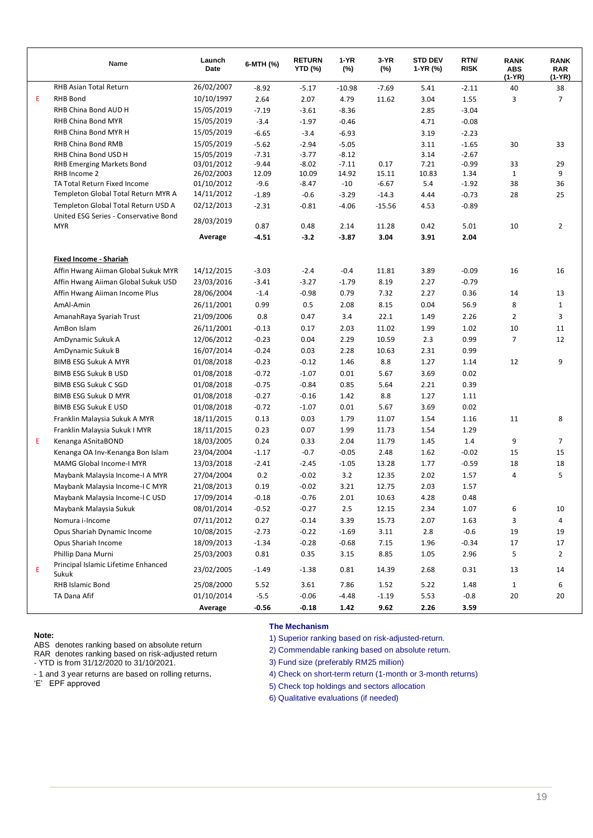|   | Name                                                                | Launch<br>Date           | 6-MTH (%) | <b>RETURN</b><br><b>YTD (%)</b> | 1-YR<br>$(\%)$ | 3-YR<br>$(\%)$ | <b>STD DEV</b><br>1-YR (%) | RTN/<br><b>RISK</b> | <b>RANK</b><br><b>ABS</b><br>(1-YR) | <b>RANK</b><br><b>RAR</b><br>(1-YR) |
|---|---------------------------------------------------------------------|--------------------------|-----------|---------------------------------|----------------|----------------|----------------------------|---------------------|-------------------------------------|-------------------------------------|
|   | RHB Asian Total Return                                              | 26/02/2007               | $-8.92$   | $-5.17$                         | $-10.98$       | $-7.69$        | 5.41                       | $-2.11$             | 40                                  | 38                                  |
| Е | <b>RHB Bond</b>                                                     | 10/10/1997               | 2.64      | 2.07                            | 4.79           | 11.62          | 3.04                       | 1.55                | 3                                   | $\overline{7}$                      |
|   | RHB China Bond AUD H                                                | 15/05/2019               | $-7.19$   | $-3.61$                         | $-8.36$        |                | 2.85                       | $-3.04$             |                                     |                                     |
|   | RHB China Bond MYR                                                  | 15/05/2019               | $-3.4$    | $-1.97$                         | $-0.46$        |                | 4.71                       | $-0.08$             |                                     |                                     |
|   | RHB China Bond MYR H                                                | 15/05/2019               | $-6.65$   | $-3.4$                          | $-6.93$        |                | 3.19                       | $-2.23$             |                                     |                                     |
|   | RHB China Bond RMB                                                  | 15/05/2019               | $-5.62$   | $-2.94$                         | $-5.05$        |                | 3.11                       | $-1.65$             | 30                                  | 33                                  |
|   | RHB China Bond USD H                                                | 15/05/2019               | $-7.31$   | $-3.77$                         | $-8.12$        |                | 3.14                       | $-2.67$             |                                     |                                     |
|   | <b>RHB Emerging Markets Bond</b>                                    | 03/01/2012               | $-9.44$   | $-8.02$                         | $-7.11$        | 0.17           | 7.21                       | $-0.99$             | 33                                  | 29                                  |
|   | RHB Income 2                                                        | 26/02/2003               | 12.09     | 10.09                           | 14.92          | 15.11          | 10.83                      | 1.34                | $\mathbf{1}$                        | 9                                   |
|   | TA Total Return Fixed Income<br>Templeton Global Total Return MYR A | 01/10/2012               | $-9.6$    | $-8.47$                         | $-10$          | $-6.67$        | 5.4                        | $-1.92$             | 38                                  | 36                                  |
|   | Templeton Global Total Return USD A                                 | 14/11/2012<br>02/12/2013 | $-1.89$   | $-0.6$                          | $-3.29$        | $-14.3$        | 4.44                       | $-0.73$             | 28                                  | 25                                  |
|   | United ESG Series - Conservative Bond                               |                          | $-2.31$   | $-0.81$                         | $-4.06$        | $-15.56$       | 4.53                       | $-0.89$             |                                     |                                     |
|   | <b>MYR</b>                                                          | 28/03/2019               | 0.87      | 0.48                            | 2.14           | 11.28          | 0.42                       | 5.01                | 10                                  | $\overline{2}$                      |
|   |                                                                     | Average                  | $-4.51$   | $-3.2$                          | $-3.87$        | 3.04           | 3.91                       | 2.04                |                                     |                                     |
|   | <b>Fixed Income - Shariah</b>                                       |                          |           |                                 |                |                |                            |                     |                                     |                                     |
|   | Affin Hwang Aiiman Global Sukuk MYR                                 | 14/12/2015               | $-3.03$   | $-2.4$                          | $-0.4$         | 11.81          | 3.89                       | $-0.09$             | 16                                  | 16                                  |
|   | Affin Hwang Aiiman Global Sukuk USD                                 | 23/03/2016               | $-3.41$   | $-3.27$                         | $-1.79$        | 8.19           | 2.27                       | $-0.79$             |                                     |                                     |
|   | Affin Hwang Aiiman Income Plus                                      | 28/06/2004               | $-1.4$    | $-0.98$                         | 0.79           | 7.32           | 2.27                       | 0.36                | 14                                  | 13                                  |
|   | AmAl-Amin                                                           | 26/11/2001               | 0.99      | 0.5                             | 2.08           | 8.15           | 0.04                       | 56.9                | 8                                   | $\mathbf{1}$                        |
|   | AmanahRaya Syariah Trust                                            | 21/09/2006               | 0.8       | 0.47                            | 3.4            | 22.1           | 1.49                       | 2.26                | 2                                   | 3                                   |
|   | AmBon Islam                                                         | 26/11/2001               | $-0.13$   | 0.17                            | 2.03           | 11.02          | 1.99                       | 1.02                | 10                                  | 11                                  |
|   | AmDynamic Sukuk A                                                   | 12/06/2012               | $-0.23$   | 0.04                            | 2.29           | 10.59          | 2.3                        | 0.99                | 7                                   | 12                                  |
|   | AmDynamic Sukuk B                                                   | 16/07/2014               | $-0.24$   | 0.03                            | 2.28           | 10.63          | 2.31                       | 0.99                |                                     |                                     |
|   | <b>BIMB ESG Sukuk A MYR</b>                                         | 01/08/2018               | $-0.23$   | $-0.12$                         | 1.46           | 8.8            | 1.27                       | 1.14                | 12                                  | 9                                   |
|   | <b>BIMB ESG Sukuk B USD</b>                                         | 01/08/2018               | $-0.72$   | $-1.07$                         | 0.01           | 5.67           | 3.69                       | 0.02                |                                     |                                     |
|   | <b>BIMB ESG Sukuk C SGD</b>                                         | 01/08/2018               | $-0.75$   | $-0.84$                         | 0.85           | 5.64           | 2.21                       | 0.39                |                                     |                                     |
|   | <b>BIMB ESG Sukuk D MYR</b>                                         | 01/08/2018               | $-0.27$   | $-0.16$                         | 1.42           | 8.8            | 1.27                       | 1.11                |                                     |                                     |
|   | <b>BIMB ESG Sukuk E USD</b>                                         | 01/08/2018               | $-0.72$   | $-1.07$                         | 0.01           | 5.67           | 3.69                       | 0.02                |                                     |                                     |
|   | Franklin Malaysia Sukuk A MYR                                       | 18/11/2015               | 0.13      | 0.03                            | 1.79           | 11.07          | 1.54                       | 1.16                | 11                                  | 8                                   |
|   | Franklin Malaysia Sukuk I MYR                                       | 18/11/2015               | 0.23      | 0.07                            | 1.99           | 11.73          | 1.54                       | 1.29                |                                     |                                     |
| E | Kenanga ASnitaBOND                                                  | 18/03/2005               | 0.24      | 0.33                            | 2.04           | 11.79          | 1.45                       | 1.4                 | 9                                   | $\overline{7}$                      |
|   | Kenanga OA Inv-Kenanga Bon Islam                                    | 23/04/2004               | $-1.17$   | $-0.7$                          | $-0.05$        | 2.48           | 1.62                       | $-0.02$             | 15                                  | 15                                  |
|   | <b>MAMG Global Income-I MYR</b>                                     | 13/03/2018               | $-2.41$   | $-2.45$                         | $-1.05$        | 13.28          | 1.77                       | $-0.59$             | 18                                  | 18                                  |
|   | Maybank Malaysia Income-I A MYR                                     | 27/04/2004               | 0.2       | $-0.02$                         | 3.2            | 12.35          | 2.02                       | 1.57                | 4                                   | 5                                   |
|   | Maybank Malaysia Income-I C MYR                                     | 21/08/2013               | 0.19      | $-0.02$                         | 3.21           | 12.75          | 2.03                       | 1.57                |                                     |                                     |
|   | Maybank Malaysia Income-I C USD                                     | 17/09/2014               | $-0.18$   | $-0.76$                         | 2.01           | 10.63          | 4.28                       | 0.48                |                                     |                                     |
|   | Maybank Malaysia Sukuk                                              | 08/01/2014               | $-0.52$   | $-0.27$                         | 2.5            | 12.15          | 2.34                       | 1.07                | 6                                   | 10                                  |
|   | Nomura i-Income                                                     | 07/11/2012               | 0.27      | $-0.14$                         | 3.39           | 15.73          | 2.07                       | 1.63                | 3                                   | 4                                   |
|   | Opus Shariah Dynamic Income                                         | 10/08/2015               | $-2.73$   | $-0.22$                         | $-1.69$        | 3.11           | $2.8\,$                    | $-0.6$              | 19                                  | 19                                  |
|   | Opus Shariah Income                                                 | 18/09/2013               | $-1.34$   | $-0.28$                         | $-0.68$        | 7.15           | 1.96                       | $-0.34$             | 17                                  | 17                                  |
|   | Phillip Dana Murni                                                  | 25/03/2003               | 0.81      | 0.35                            | 3.15           | 8.85           | 1.05                       | 2.96                | 5                                   | $\overline{2}$                      |
|   | Principal Islamic Lifetime Enhanced                                 |                          |           |                                 |                |                |                            |                     |                                     |                                     |
| E | Sukuk                                                               | 23/02/2005               | $-1.49$   | $-1.38$                         | 0.81           | 14.39          | 2.68                       | 0.31                | 13                                  | 14                                  |
|   | RHB Islamic Bond                                                    | 25/08/2000               | 5.52      | 3.61                            | 7.86           | 1.52           | 5.22                       | 1.48                | $\mathbf{1}$                        | 6                                   |
|   | TA Dana Afif                                                        | 01/10/2014               | $-5.5$    | $-0.06$                         | $-4.48$        | $-1.19$        | 5.53                       | $-0.8$              | 20                                  | 20                                  |
|   |                                                                     | Average                  | $-0.56$   | $-0.18$                         | 1.42           | 9.62           | 2.26                       | 3.59                |                                     |                                     |

#### **Note:**

ABS denotes ranking based on absolute return

RAR denotes ranking based on risk-adjusted return - YTD is from 31/12/2020 to 31/10/2021.

- 1 and 3 year returns are based on rolling returns.

'E' EPF approved

#### **The Mechanism**

1) Superior ranking based on risk-adjusted-return.

2) Commendable ranking based on absolute return.

3) Fund size (preferably RM25 million)

4) Check on short-term return (1-month or 3-month returns)

5) Check top holdings and sectors allocation

6) Qualitative evaluations (if needed)